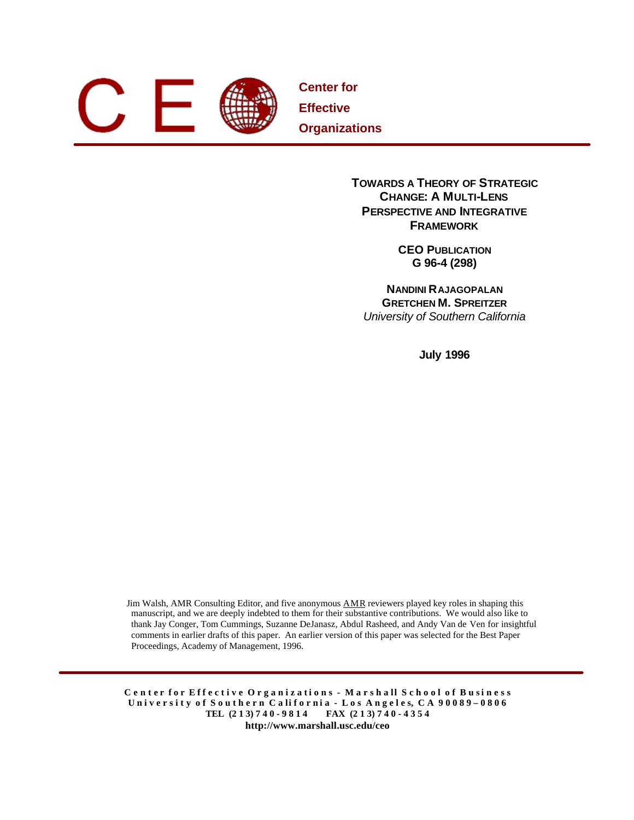

**Center for Effective Organizations**

> **TOWARDS A THEORY OF STRATEGIC CHANGE: A MULTI-LENS PERSPECTIVE AND INTEGRATIVE FRAMEWORK**

> > **CEO PUBLICATION G 96-4 (298)**

**NANDINI RAJAGOPALAN GRETCHEN M. SPREITZER** *University of Southern California*

**July 1996**

Jim Walsh, AMR Consulting Editor, and five anonymous AMR reviewers played key roles in shaping this manuscript, and we are deeply indebted to them for their substantive contributions. We would also like to thank Jay Conger, Tom Cummings, Suzanne DeJanasz, Abdul Rasheed, and Andy Van de Ven for insightful comments in earlier drafts of this paper. An earlier version of this paper was selected for the Best Paper Proceedings, Academy of Management, 1996.

C enter for Effective Organizations - Marshall School of Business University of Southern California - Los Angeles, CA 90089-0806 **TEL (2 1 3) 7 4 0 - 9 8 1 4 FAX (2 1 3) 7 4 0 - 4 3 5 4 http://www.marshall.usc.edu/ceo**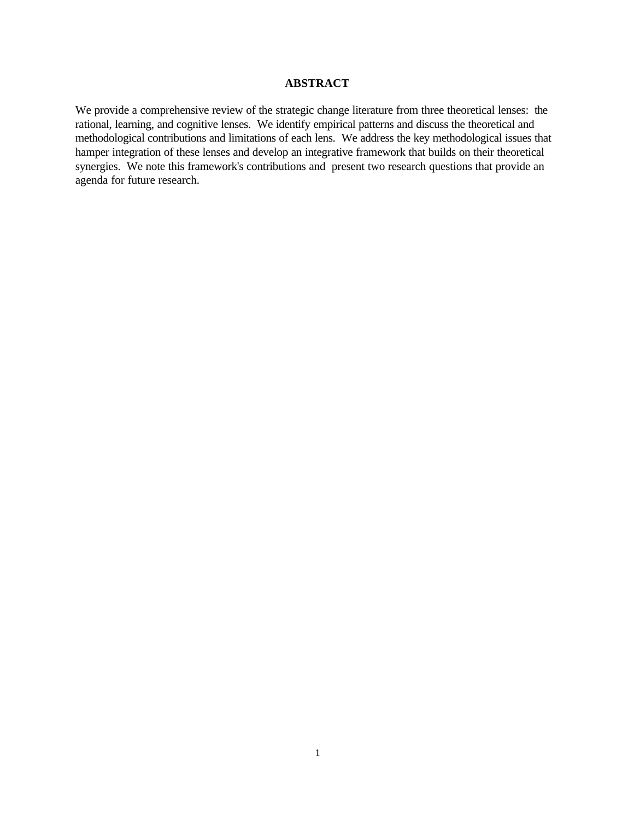## **ABSTRACT**

We provide a comprehensive review of the strategic change literature from three theoretical lenses: the rational, learning, and cognitive lenses. We identify empirical patterns and discuss the theoretical and methodological contributions and limitations of each lens. We address the key methodological issues that hamper integration of these lenses and develop an integrative framework that builds on their theoretical synergies. We note this framework's contributions and present two research questions that provide an agenda for future research.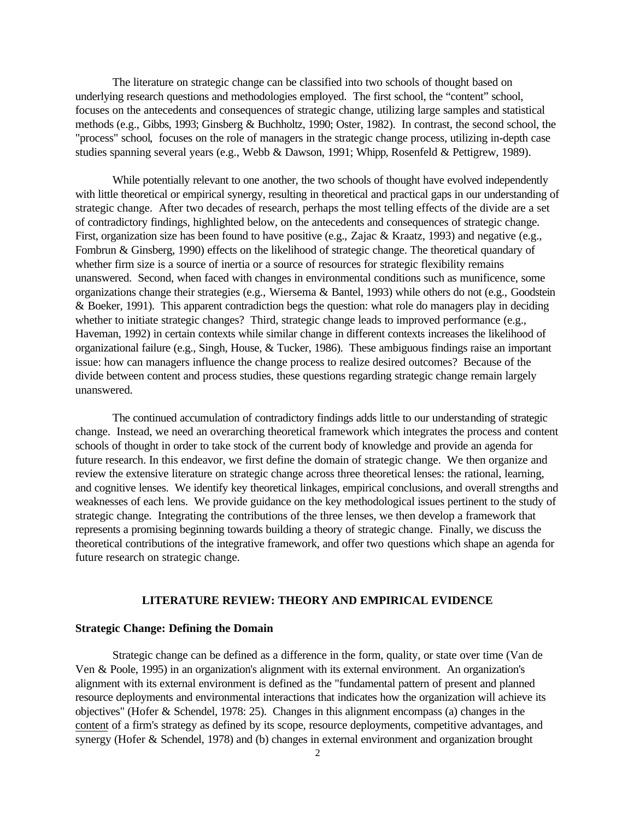The literature on strategic change can be classified into two schools of thought based on underlying research questions and methodologies employed. The first school, the "content" school, focuses on the antecedents and consequences of strategic change, utilizing large samples and statistical methods (e.g., Gibbs, 1993; Ginsberg & Buchholtz, 1990; Oster, 1982). In contrast, the second school, the "process" school, focuses on the role of managers in the strategic change process, utilizing in-depth case studies spanning several years (e.g., Webb & Dawson, 1991; Whipp, Rosenfeld & Pettigrew, 1989).

While potentially relevant to one another, the two schools of thought have evolved independently with little theoretical or empirical synergy, resulting in theoretical and practical gaps in our understanding of strategic change. After two decades of research, perhaps the most telling effects of the divide are a set of contradictory findings, highlighted below, on the antecedents and consequences of strategic change. First, organization size has been found to have positive (e.g., Zajac & Kraatz, 1993) and negative (e.g., Fombrun & Ginsberg, 1990) effects on the likelihood of strategic change. The theoretical quandary of whether firm size is a source of inertia or a source of resources for strategic flexibility remains unanswered. Second, when faced with changes in environmental conditions such as munificence, some organizations change their strategies (e.g., Wiersema & Bantel, 1993) while others do not (e.g., Goodstein & Boeker, 1991). This apparent contradiction begs the question: what role do managers play in deciding whether to initiate strategic changes? Third, strategic change leads to improved performance (e.g., Haveman, 1992) in certain contexts while similar change in different contexts increases the likelihood of organizational failure (e.g., Singh, House, & Tucker, 1986). These ambiguous findings raise an important issue: how can managers influence the change process to realize desired outcomes? Because of the divide between content and process studies, these questions regarding strategic change remain largely unanswered.

The continued accumulation of contradictory findings adds little to our understanding of strategic change. Instead, we need an overarching theoretical framework which integrates the process and content schools of thought in order to take stock of the current body of knowledge and provide an agenda for future research. In this endeavor, we first define the domain of strategic change. We then organize and review the extensive literature on strategic change across three theoretical lenses: the rational, learning, and cognitive lenses. We identify key theoretical linkages, empirical conclusions, and overall strengths and weaknesses of each lens. We provide guidance on the key methodological issues pertinent to the study of strategic change. Integrating the contributions of the three lenses, we then develop a framework that represents a promising beginning towards building a theory of strategic change. Finally, we discuss the theoretical contributions of the integrative framework, and offer two questions which shape an agenda for future research on strategic change.

# **LITERATURE REVIEW: THEORY AND EMPIRICAL EVIDENCE**

### **Strategic Change: Defining the Domain**

Strategic change can be defined as a difference in the form, quality, or state over time (Van de Ven & Poole, 1995) in an organization's alignment with its external environment. An organization's alignment with its external environment is defined as the "fundamental pattern of present and planned resource deployments and environmental interactions that indicates how the organization will achieve its objectives" (Hofer & Schendel, 1978: 25). Changes in this alignment encompass (a) changes in the content of a firm's strategy as defined by its scope, resource deployments, competitive advantages, and synergy (Hofer & Schendel, 1978) and (b) changes in external environment and organization brought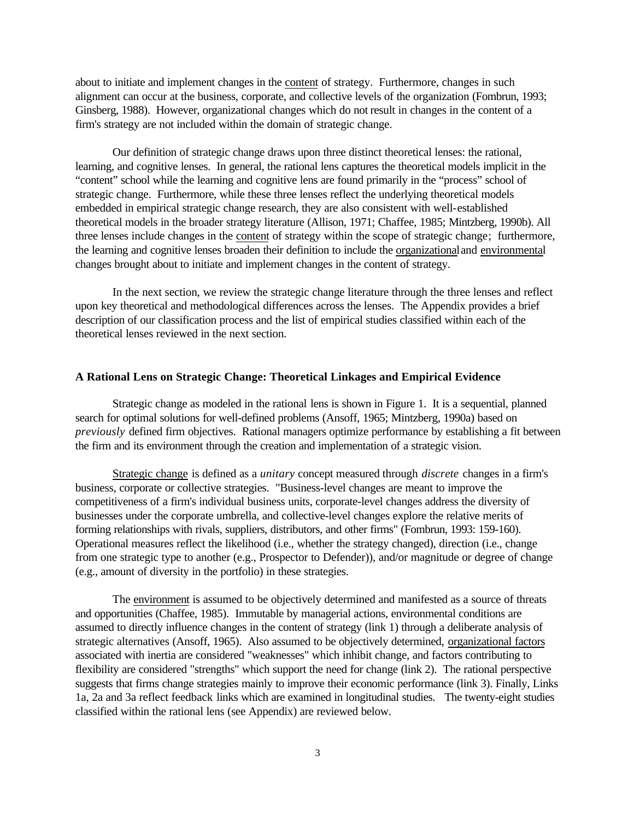about to initiate and implement changes in the content of strategy. Furthermore, changes in such alignment can occur at the business, corporate, and collective levels of the organization (Fombrun, 1993; Ginsberg, 1988). However, organizational changes which do not result in changes in the content of a firm's strategy are not included within the domain of strategic change.

Our definition of strategic change draws upon three distinct theoretical lenses: the rational, learning, and cognitive lenses. In general, the rational lens captures the theoretical models implicit in the "content" school while the learning and cognitive lens are found primarily in the "process" school of strategic change. Furthermore, while these three lenses reflect the underlying theoretical models embedded in empirical strategic change research, they are also consistent with well-established theoretical models in the broader strategy literature (Allison, 1971; Chaffee, 1985; Mintzberg, 1990b). All three lenses include changes in the content of strategy within the scope of strategic change; furthermore, the learning and cognitive lenses broaden their definition to include the organizational and environmental changes brought about to initiate and implement changes in the content of strategy.

In the next section, we review the strategic change literature through the three lenses and reflect upon key theoretical and methodological differences across the lenses. The Appendix provides a brief description of our classification process and the list of empirical studies classified within each of the theoretical lenses reviewed in the next section.

### **A Rational Lens on Strategic Change: Theoretical Linkages and Empirical Evidence**

Strategic change as modeled in the rational lens is shown in Figure 1. It is a sequential, planned search for optimal solutions for well-defined problems (Ansoff, 1965; Mintzberg, 1990a) based on *previously* defined firm objectives. Rational managers optimize performance by establishing a fit between the firm and its environment through the creation and implementation of a strategic vision.

Strategic change is defined as a *unitary* concept measured through *discrete* changes in a firm's business, corporate or collective strategies. "Business-level changes are meant to improve the competitiveness of a firm's individual business units, corporate-level changes address the diversity of businesses under the corporate umbrella, and collective-level changes explore the relative merits of forming relationships with rivals, suppliers, distributors, and other firms" (Fombrun, 1993: 159-160). Operational measures reflect the likelihood (i.e., whether the strategy changed), direction (i.e., change from one strategic type to another (e.g., Prospector to Defender)), and/or magnitude or degree of change (e.g., amount of diversity in the portfolio) in these strategies.

The environment is assumed to be objectively determined and manifested as a source of threats and opportunities (Chaffee, 1985). Immutable by managerial actions, environmental conditions are assumed to directly influence changes in the content of strategy (link 1) through a deliberate analysis of strategic alternatives (Ansoff, 1965). Also assumed to be objectively determined, organizational factors associated with inertia are considered "weaknesses" which inhibit change, and factors contributing to flexibility are considered "strengths" which support the need for change (link 2). The rational perspective suggests that firms change strategies mainly to improve their economic performance (link 3). Finally, Links 1a, 2a and 3a reflect feedback links which are examined in longitudinal studies. The twenty-eight studies classified within the rational lens (see Appendix) are reviewed below.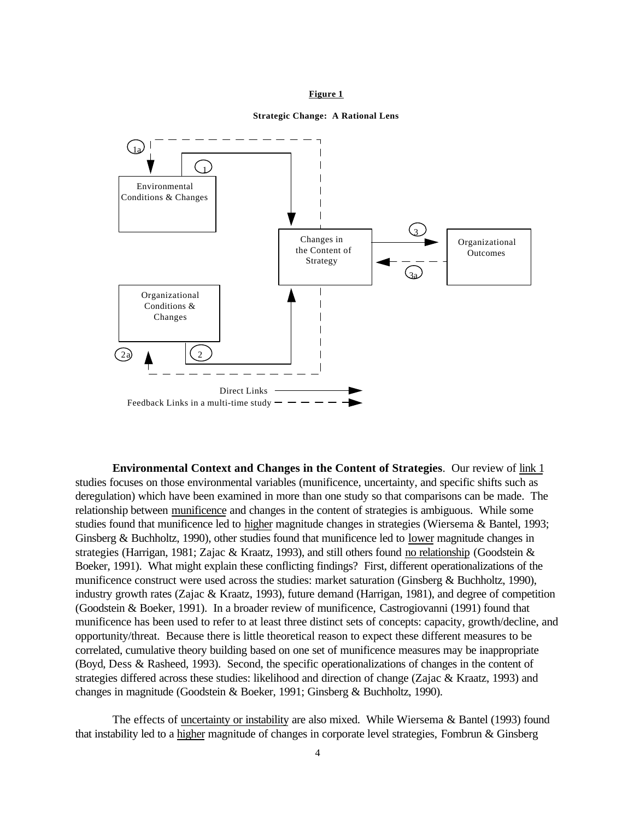#### **Figure 1**

#### **Strategic Change: A Rational Lens**



**Environmental Context and Changes in the Content of Strategies**. Our review of link 1 studies focuses on those environmental variables (munificence, uncertainty, and specific shifts such as deregulation) which have been examined in more than one study so that comparisons can be made. The relationship between munificence and changes in the content of strategies is ambiguous. While some studies found that munificence led to higher magnitude changes in strategies (Wiersema & Bantel, 1993; Ginsberg & Buchholtz, 1990), other studies found that munificence led to lower magnitude changes in strategies (Harrigan, 1981; Zajac & Kraatz, 1993), and still others found no relationship (Goodstein & Boeker, 1991). What might explain these conflicting findings? First, different operationalizations of the munificence construct were used across the studies: market saturation (Ginsberg & Buchholtz, 1990), industry growth rates (Zajac & Kraatz, 1993), future demand (Harrigan, 1981), and degree of competition (Goodstein & Boeker, 1991). In a broader review of munificence, Castrogiovanni (1991) found that munificence has been used to refer to at least three distinct sets of concepts: capacity, growth/decline, and opportunity/threat. Because there is little theoretical reason to expect these different measures to be correlated, cumulative theory building based on one set of munificence measures may be inappropriate (Boyd, Dess & Rasheed, 1993). Second, the specific operationalizations of changes in the content of strategies differed across these studies: likelihood and direction of change (Zajac & Kraatz, 1993) and changes in magnitude (Goodstein & Boeker, 1991; Ginsberg & Buchholtz, 1990).

The effects of uncertainty or instability are also mixed. While Wiersema & Bantel (1993) found that instability led to a higher magnitude of changes in corporate level strategies, Fombrun & Ginsberg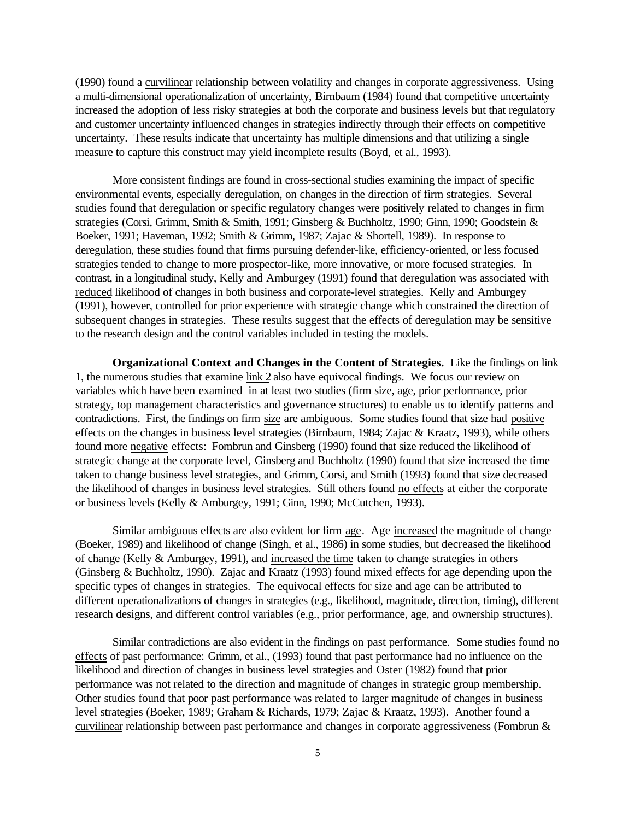(1990) found a curvilinear relationship between volatility and changes in corporate aggressiveness. Using a multi-dimensional operationalization of uncertainty, Birnbaum (1984) found that competitive uncertainty increased the adoption of less risky strategies at both the corporate and business levels but that regulatory and customer uncertainty influenced changes in strategies indirectly through their effects on competitive uncertainty. These results indicate that uncertainty has multiple dimensions and that utilizing a single measure to capture this construct may yield incomplete results (Boyd, et al., 1993).

More consistent findings are found in cross-sectional studies examining the impact of specific environmental events, especially deregulation, on changes in the direction of firm strategies. Several studies found that deregulation or specific regulatory changes were positively related to changes in firm strategies (Corsi, Grimm, Smith & Smith, 1991; Ginsberg & Buchholtz, 1990; Ginn, 1990; Goodstein & Boeker, 1991; Haveman, 1992; Smith & Grimm, 1987; Zajac & Shortell, 1989). In response to deregulation, these studies found that firms pursuing defender-like, efficiency-oriented, or less focused strategies tended to change to more prospector-like, more innovative, or more focused strategies. In contrast, in a longitudinal study, Kelly and Amburgey (1991) found that deregulation was associated with reduced likelihood of changes in both business and corporate-level strategies. Kelly and Amburgey (1991), however, controlled for prior experience with strategic change which constrained the direction of subsequent changes in strategies. These results suggest that the effects of deregulation may be sensitive to the research design and the control variables included in testing the models.

**Organizational Context and Changes in the Content of Strategies.** Like the findings on link 1, the numerous studies that examine link 2 also have equivocal findings. We focus our review on variables which have been examined in at least two studies (firm size, age, prior performance, prior strategy, top management characteristics and governance structures) to enable us to identify patterns and contradictions. First, the findings on firm size are ambiguous. Some studies found that size had positive effects on the changes in business level strategies (Birnbaum, 1984; Zajac & Kraatz, 1993), while others found more negative effects: Fombrun and Ginsberg (1990) found that size reduced the likelihood of strategic change at the corporate level, Ginsberg and Buchholtz (1990) found that size increased the time taken to change business level strategies, and Grimm, Corsi, and Smith (1993) found that size decreased the likelihood of changes in business level strategies. Still others found no effects at either the corporate or business levels (Kelly & Amburgey, 1991; Ginn, 1990; McCutchen, 1993).

Similar ambiguous effects are also evident for firm age. Age increased the magnitude of change (Boeker, 1989) and likelihood of change (Singh, et al., 1986) in some studies, but decreased the likelihood of change (Kelly & Amburgey, 1991), and increased the time taken to change strategies in others (Ginsberg & Buchholtz, 1990). Zajac and Kraatz (1993) found mixed effects for age depending upon the specific types of changes in strategies. The equivocal effects for size and age can be attributed to different operationalizations of changes in strategies (e.g., likelihood, magnitude, direction, timing), different research designs, and different control variables (e.g., prior performance, age, and ownership structures).

Similar contradictions are also evident in the findings on past performance. Some studies found no effects of past performance: Grimm, et al., (1993) found that past performance had no influence on the likelihood and direction of changes in business level strategies and Oster (1982) found that prior performance was not related to the direction and magnitude of changes in strategic group membership. Other studies found that poor past performance was related to larger magnitude of changes in business level strategies (Boeker, 1989; Graham & Richards, 1979; Zajac & Kraatz, 1993). Another found a curvilinear relationship between past performance and changes in corporate aggressiveness (Fombrun &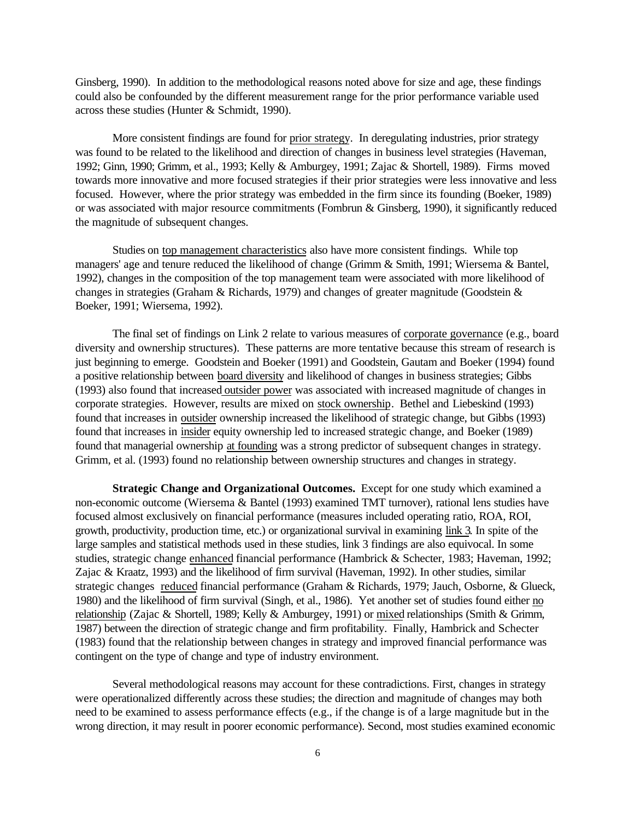Ginsberg, 1990). In addition to the methodological reasons noted above for size and age, these findings could also be confounded by the different measurement range for the prior performance variable used across these studies (Hunter & Schmidt, 1990).

More consistent findings are found for prior strategy. In deregulating industries, prior strategy was found to be related to the likelihood and direction of changes in business level strategies (Haveman, 1992; Ginn, 1990; Grimm, et al., 1993; Kelly & Amburgey, 1991; Zajac & Shortell, 1989). Firms moved towards more innovative and more focused strategies if their prior strategies were less innovative and less focused. However, where the prior strategy was embedded in the firm since its founding (Boeker, 1989) or was associated with major resource commitments (Fombrun & Ginsberg, 1990), it significantly reduced the magnitude of subsequent changes.

Studies on top management characteristics also have more consistent findings. While top managers' age and tenure reduced the likelihood of change (Grimm & Smith, 1991; Wiersema & Bantel, 1992), changes in the composition of the top management team were associated with more likelihood of changes in strategies (Graham & Richards, 1979) and changes of greater magnitude (Goodstein & Boeker, 1991; Wiersema, 1992).

The final set of findings on Link 2 relate to various measures of corporate governance (e.g., board diversity and ownership structures). These patterns are more tentative because this stream of research is just beginning to emerge. Goodstein and Boeker (1991) and Goodstein, Gautam and Boeker (1994) found a positive relationship between board diversity and likelihood of changes in business strategies; Gibbs (1993) also found that increased outsider power was associated with increased magnitude of changes in corporate strategies. However, results are mixed on stock ownership. Bethel and Liebeskind (1993) found that increases in outsider ownership increased the likelihood of strategic change, but Gibbs (1993) found that increases in insider equity ownership led to increased strategic change, and Boeker (1989) found that managerial ownership at founding was a strong predictor of subsequent changes in strategy. Grimm, et al. (1993) found no relationship between ownership structures and changes in strategy.

**Strategic Change and Organizational Outcomes.** Except for one study which examined a non-economic outcome (Wiersema & Bantel (1993) examined TMT turnover), rational lens studies have focused almost exclusively on financial performance (measures included operating ratio, ROA, ROI, growth, productivity, production time, etc.) or organizational survival in examining link 3. In spite of the large samples and statistical methods used in these studies, link 3 findings are also equivocal. In some studies, strategic change enhanced financial performance (Hambrick & Schecter, 1983; Haveman, 1992; Zajac & Kraatz, 1993) and the likelihood of firm survival (Haveman, 1992). In other studies, similar strategic changes reduced financial performance (Graham & Richards, 1979; Jauch, Osborne, & Glueck, 1980) and the likelihood of firm survival (Singh, et al., 1986). Yet another set of studies found either no relationship (Zajac & Shortell, 1989; Kelly & Amburgey, 1991) or mixed relationships (Smith & Grimm, 1987) between the direction of strategic change and firm profitability. Finally, Hambrick and Schecter (1983) found that the relationship between changes in strategy and improved financial performance was contingent on the type of change and type of industry environment.

Several methodological reasons may account for these contradictions. First, changes in strategy were operationalized differently across these studies; the direction and magnitude of changes may both need to be examined to assess performance effects (e.g., if the change is of a large magnitude but in the wrong direction, it may result in poorer economic performance). Second, most studies examined economic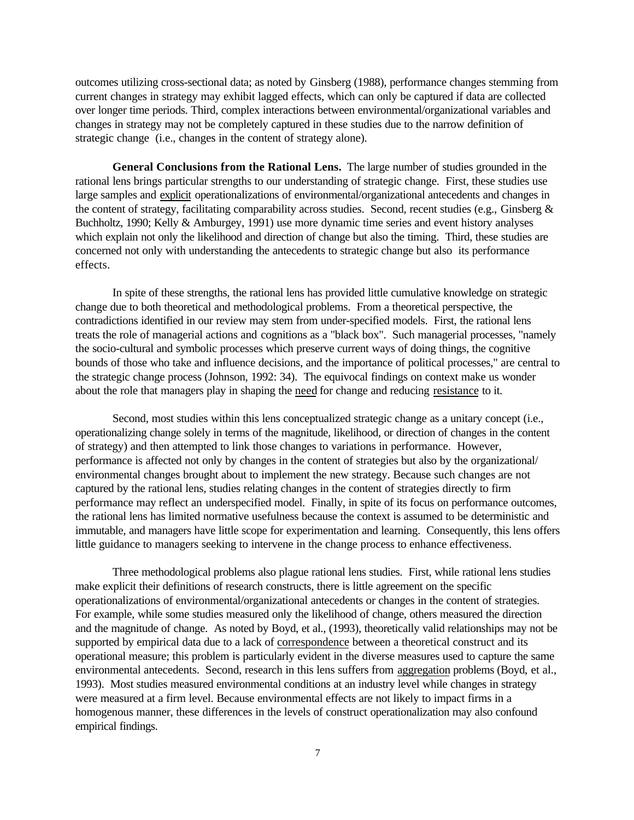outcomes utilizing cross-sectional data; as noted by Ginsberg (1988), performance changes stemming from current changes in strategy may exhibit lagged effects, which can only be captured if data are collected over longer time periods. Third, complex interactions between environmental/organizational variables and changes in strategy may not be completely captured in these studies due to the narrow definition of strategic change (i.e., changes in the content of strategy alone).

**General Conclusions from the Rational Lens.** The large number of studies grounded in the rational lens brings particular strengths to our understanding of strategic change. First, these studies use large samples and explicit operationalizations of environmental/organizational antecedents and changes in the content of strategy, facilitating comparability across studies. Second, recent studies (e.g., Ginsberg & Buchholtz, 1990; Kelly & Amburgey, 1991) use more dynamic time series and event history analyses which explain not only the likelihood and direction of change but also the timing. Third, these studies are concerned not only with understanding the antecedents to strategic change but also its performance effects.

In spite of these strengths, the rational lens has provided little cumulative knowledge on strategic change due to both theoretical and methodological problems. From a theoretical perspective, the contradictions identified in our review may stem from under-specified models. First, the rational lens treats the role of managerial actions and cognitions as a "black box". Such managerial processes, "namely the socio-cultural and symbolic processes which preserve current ways of doing things, the cognitive bounds of those who take and influence decisions, and the importance of political processes," are central to the strategic change process (Johnson, 1992: 34). The equivocal findings on context make us wonder about the role that managers play in shaping the need for change and reducing resistance to it.

Second, most studies within this lens conceptualized strategic change as a unitary concept (i.e., operationalizing change solely in terms of the magnitude, likelihood, or direction of changes in the content of strategy) and then attempted to link those changes to variations in performance. However, performance is affected not only by changes in the content of strategies but also by the organizational/ environmental changes brought about to implement the new strategy. Because such changes are not captured by the rational lens, studies relating changes in the content of strategies directly to firm performance may reflect an underspecified model. Finally, in spite of its focus on performance outcomes, the rational lens has limited normative usefulness because the context is assumed to be deterministic and immutable, and managers have little scope for experimentation and learning. Consequently, this lens offers little guidance to managers seeking to intervene in the change process to enhance effectiveness.

Three methodological problems also plague rational lens studies. First, while rational lens studies make explicit their definitions of research constructs, there is little agreement on the specific operationalizations of environmental/organizational antecedents or changes in the content of strategies. For example, while some studies measured only the likelihood of change, others measured the direction and the magnitude of change. As noted by Boyd, et al., (1993), theoretically valid relationships may not be supported by empirical data due to a lack of correspondence between a theoretical construct and its operational measure; this problem is particularly evident in the diverse measures used to capture the same environmental antecedents. Second, research in this lens suffers from aggregation problems (Boyd, et al., 1993). Most studies measured environmental conditions at an industry level while changes in strategy were measured at a firm level. Because environmental effects are not likely to impact firms in a homogenous manner, these differences in the levels of construct operationalization may also confound empirical findings.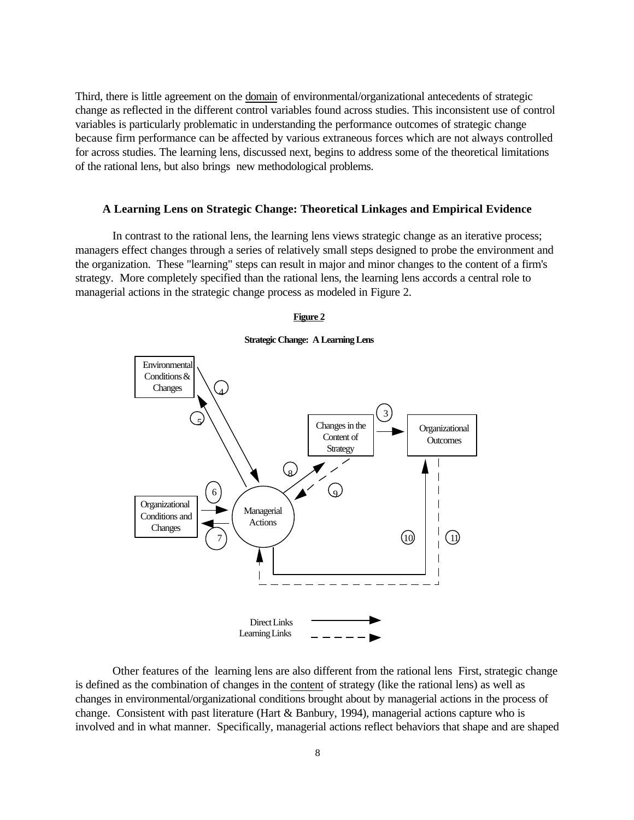Third, there is little agreement on the domain of environmental/organizational antecedents of strategic change as reflected in the different control variables found across studies. This inconsistent use of control variables is particularly problematic in understanding the performance outcomes of strategic change because firm performance can be affected by various extraneous forces which are not always controlled for across studies. The learning lens, discussed next, begins to address some of the theoretical limitations of the rational lens, but also brings new methodological problems.

#### **A Learning Lens on Strategic Change: Theoretical Linkages and Empirical Evidence**

In contrast to the rational lens, the learning lens views strategic change as an iterative process; managers effect changes through a series of relatively small steps designed to probe the environment and the organization. These "learning" steps can result in major and minor changes to the content of a firm's strategy. More completely specified than the rational lens, the learning lens accords a central role to managerial actions in the strategic change process as modeled in Figure 2.

#### **Figure 2**

**Strategic Change: A Learning Lens**



Other features of the learning lens are also different from the rational lens First, strategic change is defined as the combination of changes in the content of strategy (like the rational lens) as well as changes in environmental/organizational conditions brought about by managerial actions in the process of change. Consistent with past literature (Hart & Banbury, 1994), managerial actions capture who is involved and in what manner. Specifically, managerial actions reflect behaviors that shape and are shaped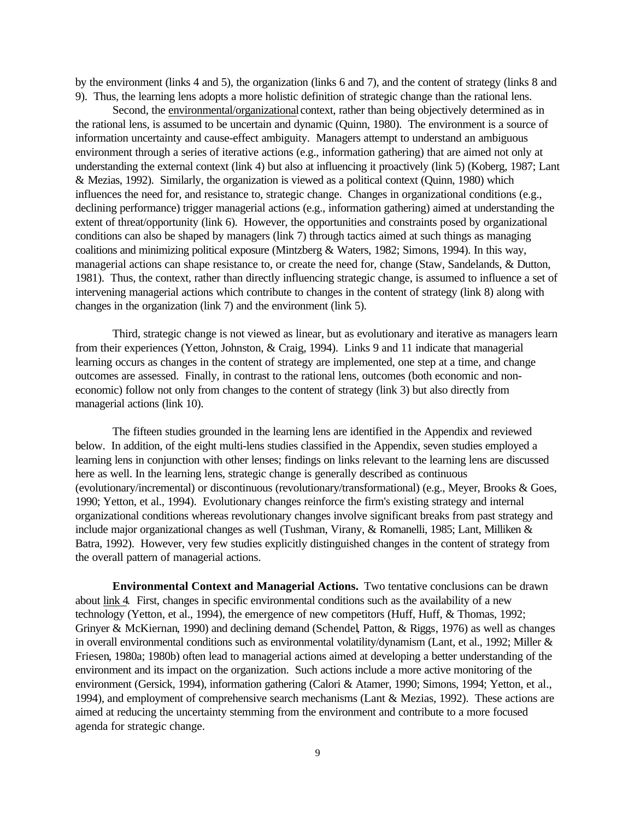by the environment (links 4 and 5), the organization (links 6 and 7), and the content of strategy (links 8 and 9). Thus, the learning lens adopts a more holistic definition of strategic change than the rational lens.

Second, the environmental/organizational context, rather than being objectively determined as in the rational lens, is assumed to be uncertain and dynamic (Quinn, 1980). The environment is a source of information uncertainty and cause-effect ambiguity. Managers attempt to understand an ambiguous environment through a series of iterative actions (e.g., information gathering) that are aimed not only at understanding the external context (link 4) but also at influencing it proactively (link 5) (Koberg, 1987; Lant & Mezias, 1992). Similarly, the organization is viewed as a political context (Quinn, 1980) which influences the need for, and resistance to, strategic change. Changes in organizational conditions (e.g., declining performance) trigger managerial actions (e.g., information gathering) aimed at understanding the extent of threat/opportunity (link 6). However, the opportunities and constraints posed by organizational conditions can also be shaped by managers (link 7) through tactics aimed at such things as managing coalitions and minimizing political exposure (Mintzberg & Waters, 1982; Simons, 1994). In this way, managerial actions can shape resistance to, or create the need for, change (Staw, Sandelands, & Dutton, 1981). Thus, the context, rather than directly influencing strategic change, is assumed to influence a set of intervening managerial actions which contribute to changes in the content of strategy (link 8) along with changes in the organization (link 7) and the environment (link 5).

Third, strategic change is not viewed as linear, but as evolutionary and iterative as managers learn from their experiences (Yetton, Johnston, & Craig, 1994). Links 9 and 11 indicate that managerial learning occurs as changes in the content of strategy are implemented, one step at a time, and change outcomes are assessed. Finally, in contrast to the rational lens, outcomes (both economic and noneconomic) follow not only from changes to the content of strategy (link 3) but also directly from managerial actions (link 10).

The fifteen studies grounded in the learning lens are identified in the Appendix and reviewed below. In addition, of the eight multi-lens studies classified in the Appendix, seven studies employed a learning lens in conjunction with other lenses; findings on links relevant to the learning lens are discussed here as well. In the learning lens, strategic change is generally described as continuous (evolutionary/incremental) or discontinuous (revolutionary/transformational) (e.g., Meyer, Brooks & Goes, 1990; Yetton, et al., 1994). Evolutionary changes reinforce the firm's existing strategy and internal organizational conditions whereas revolutionary changes involve significant breaks from past strategy and include major organizational changes as well (Tushman, Virany, & Romanelli, 1985; Lant, Milliken & Batra, 1992). However, very few studies explicitly distinguished changes in the content of strategy from the overall pattern of managerial actions.

**Environmental Context and Managerial Actions.** Two tentative conclusions can be drawn about link 4. First, changes in specific environmental conditions such as the availability of a new technology (Yetton, et al., 1994), the emergence of new competitors (Huff, Huff, & Thomas, 1992; Grinyer & McKiernan, 1990) and declining demand (Schendel, Patton, & Riggs, 1976) as well as changes in overall environmental conditions such as environmental volatility/dynamism (Lant, et al., 1992; Miller & Friesen, 1980a; 1980b) often lead to managerial actions aimed at developing a better understanding of the environment and its impact on the organization. Such actions include a more active monitoring of the environment (Gersick, 1994), information gathering (Calori & Atamer, 1990; Simons, 1994; Yetton, et al., 1994), and employment of comprehensive search mechanisms (Lant  $&$  Mezias, 1992). These actions are aimed at reducing the uncertainty stemming from the environment and contribute to a more focused agenda for strategic change.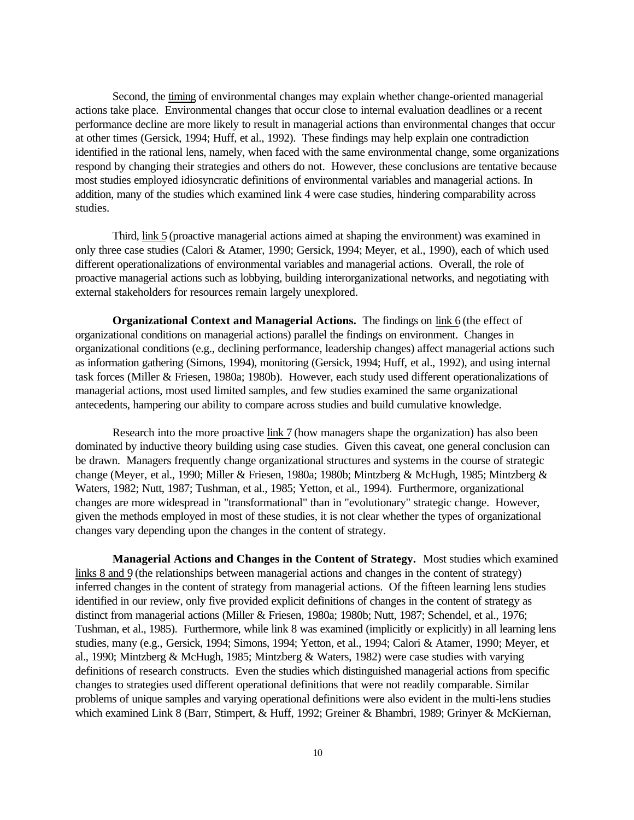Second, the timing of environmental changes may explain whether change-oriented managerial actions take place. Environmental changes that occur close to internal evaluation deadlines or a recent performance decline are more likely to result in managerial actions than environmental changes that occur at other times (Gersick, 1994; Huff, et al., 1992). These findings may help explain one contradiction identified in the rational lens, namely, when faced with the same environmental change, some organizations respond by changing their strategies and others do not. However, these conclusions are tentative because most studies employed idiosyncratic definitions of environmental variables and managerial actions. In addition, many of the studies which examined link 4 were case studies, hindering comparability across studies.

Third, link 5 (proactive managerial actions aimed at shaping the environment) was examined in only three case studies (Calori & Atamer, 1990; Gersick, 1994; Meyer, et al., 1990), each of which used different operationalizations of environmental variables and managerial actions. Overall, the role of proactive managerial actions such as lobbying, building interorganizational networks, and negotiating with external stakeholders for resources remain largely unexplored.

**Organizational Context and Managerial Actions.** The findings on link 6 (the effect of organizational conditions on managerial actions) parallel the findings on environment. Changes in organizational conditions (e.g., declining performance, leadership changes) affect managerial actions such as information gathering (Simons, 1994), monitoring (Gersick, 1994; Huff, et al., 1992), and using internal task forces (Miller & Friesen, 1980a; 1980b). However, each study used different operationalizations of managerial actions, most used limited samples, and few studies examined the same organizational antecedents, hampering our ability to compare across studies and build cumulative knowledge.

Research into the more proactive link 7 (how managers shape the organization) has also been dominated by inductive theory building using case studies. Given this caveat, one general conclusion can be drawn. Managers frequently change organizational structures and systems in the course of strategic change (Meyer, et al., 1990; Miller & Friesen, 1980a; 1980b; Mintzberg & McHugh, 1985; Mintzberg & Waters, 1982; Nutt, 1987; Tushman, et al., 1985; Yetton, et al., 1994). Furthermore, organizational changes are more widespread in "transformational" than in "evolutionary" strategic change. However, given the methods employed in most of these studies, it is not clear whether the types of organizational changes vary depending upon the changes in the content of strategy.

**Managerial Actions and Changes in the Content of Strategy.** Most studies which examined links 8 and 9 (the relationships between managerial actions and changes in the content of strategy) inferred changes in the content of strategy from managerial actions. Of the fifteen learning lens studies identified in our review, only five provided explicit definitions of changes in the content of strategy as distinct from managerial actions (Miller & Friesen, 1980a; 1980b; Nutt, 1987; Schendel, et al., 1976; Tushman, et al., 1985). Furthermore, while link 8 was examined (implicitly or explicitly) in all learning lens studies, many (e.g., Gersick, 1994; Simons, 1994; Yetton, et al., 1994; Calori & Atamer, 1990; Meyer, et al., 1990; Mintzberg & McHugh, 1985; Mintzberg & Waters, 1982) were case studies with varying definitions of research constructs. Even the studies which distinguished managerial actions from specific changes to strategies used different operational definitions that were not readily comparable. Similar problems of unique samples and varying operational definitions were also evident in the multi-lens studies which examined Link 8 (Barr, Stimpert, & Huff, 1992; Greiner & Bhambri, 1989; Grinyer & McKiernan,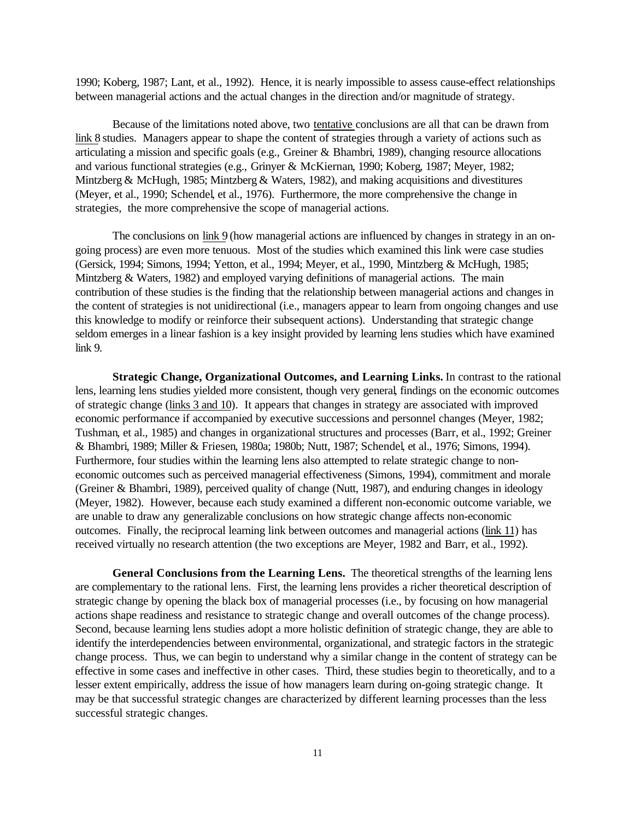1990; Koberg, 1987; Lant, et al., 1992). Hence, it is nearly impossible to assess cause-effect relationships between managerial actions and the actual changes in the direction and/or magnitude of strategy.

Because of the limitations noted above, two tentative conclusions are all that can be drawn from link 8 studies. Managers appear to shape the content of strategies through a variety of actions such as articulating a mission and specific goals (e.g., Greiner & Bhambri, 1989), changing resource allocations and various functional strategies (e.g., Grinyer & McKiernan, 1990; Koberg, 1987; Meyer, 1982; Mintzberg & McHugh, 1985; Mintzberg & Waters, 1982), and making acquisitions and divestitures (Meyer, et al., 1990; Schendel, et al., 1976). Furthermore, the more comprehensive the change in strategies, the more comprehensive the scope of managerial actions.

The conclusions on link 9 (how managerial actions are influenced by changes in strategy in an ongoing process) are even more tenuous. Most of the studies which examined this link were case studies (Gersick, 1994; Simons, 1994; Yetton, et al., 1994; Meyer, et al., 1990, Mintzberg & McHugh, 1985; Mintzberg & Waters, 1982) and employed varying definitions of managerial actions. The main contribution of these studies is the finding that the relationship between managerial actions and changes in the content of strategies is not unidirectional (i.e., managers appear to learn from ongoing changes and use this knowledge to modify or reinforce their subsequent actions). Understanding that strategic change seldom emerges in a linear fashion is a key insight provided by learning lens studies which have examined link 9.

**Strategic Change, Organizational Outcomes, and Learning Links.** In contrast to the rational lens, learning lens studies yielded more consistent, though very general, findings on the economic outcomes of strategic change (links 3 and 10). It appears that changes in strategy are associated with improved economic performance if accompanied by executive successions and personnel changes (Meyer, 1982; Tushman, et al., 1985) and changes in organizational structures and processes (Barr, et al., 1992; Greiner & Bhambri, 1989; Miller & Friesen, 1980a; 1980b; Nutt, 1987; Schendel, et al., 1976; Simons, 1994). Furthermore, four studies within the learning lens also attempted to relate strategic change to noneconomic outcomes such as perceived managerial effectiveness (Simons, 1994), commitment and morale (Greiner & Bhambri, 1989), perceived quality of change (Nutt, 1987), and enduring changes in ideology (Meyer, 1982). However, because each study examined a different non-economic outcome variable, we are unable to draw any generalizable conclusions on how strategic change affects non-economic outcomes. Finally, the reciprocal learning link between outcomes and managerial actions (link 11) has received virtually no research attention (the two exceptions are Meyer, 1982 and Barr, et al., 1992).

**General Conclusions from the Learning Lens.** The theoretical strengths of the learning lens are complementary to the rational lens. First, the learning lens provides a richer theoretical description of strategic change by opening the black box of managerial processes (i.e., by focusing on how managerial actions shape readiness and resistance to strategic change and overall outcomes of the change process). Second, because learning lens studies adopt a more holistic definition of strategic change, they are able to identify the interdependencies between environmental, organizational, and strategic factors in the strategic change process. Thus, we can begin to understand why a similar change in the content of strategy can be effective in some cases and ineffective in other cases. Third, these studies begin to theoretically, and to a lesser extent empirically, address the issue of how managers learn during on-going strategic change. It may be that successful strategic changes are characterized by different learning processes than the less successful strategic changes.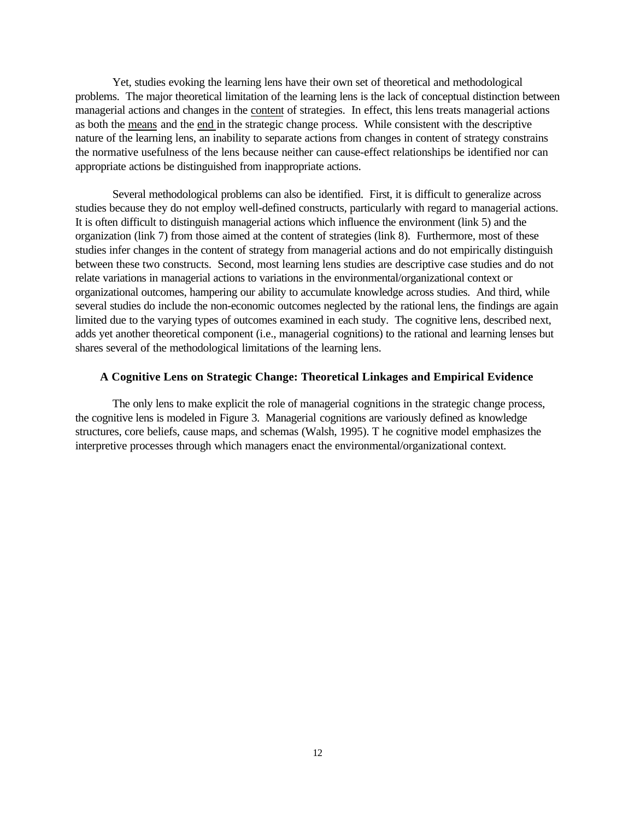Yet, studies evoking the learning lens have their own set of theoretical and methodological problems. The major theoretical limitation of the learning lens is the lack of conceptual distinction between managerial actions and changes in the content of strategies. In effect, this lens treats managerial actions as both the means and the end in the strategic change process. While consistent with the descriptive nature of the learning lens, an inability to separate actions from changes in content of strategy constrains the normative usefulness of the lens because neither can cause-effect relationships be identified nor can appropriate actions be distinguished from inappropriate actions.

Several methodological problems can also be identified. First, it is difficult to generalize across studies because they do not employ well-defined constructs, particularly with regard to managerial actions. It is often difficult to distinguish managerial actions which influence the environment (link 5) and the organization (link 7) from those aimed at the content of strategies (link 8). Furthermore, most of these studies infer changes in the content of strategy from managerial actions and do not empirically distinguish between these two constructs. Second, most learning lens studies are descriptive case studies and do not relate variations in managerial actions to variations in the environmental/organizational context or organizational outcomes, hampering our ability to accumulate knowledge across studies. And third, while several studies do include the non-economic outcomes neglected by the rational lens, the findings are again limited due to the varying types of outcomes examined in each study. The cognitive lens, described next, adds yet another theoretical component (i.e., managerial cognitions) to the rational and learning lenses but shares several of the methodological limitations of the learning lens.

# **A Cognitive Lens on Strategic Change: Theoretical Linkages and Empirical Evidence**

The only lens to make explicit the role of managerial cognitions in the strategic change process, the cognitive lens is modeled in Figure 3. Managerial cognitions are variously defined as knowledge structures, core beliefs, cause maps, and schemas (Walsh, 1995). T he cognitive model emphasizes the interpretive processes through which managers enact the environmental/organizational context.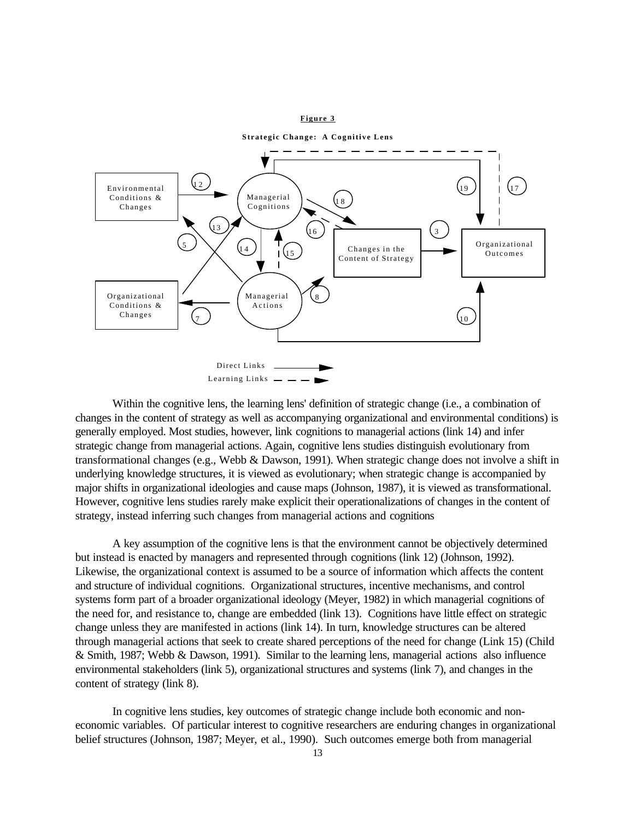#### **Figure 3**



Within the cognitive lens, the learning lens' definition of strategic change (i.e., a combination of changes in the content of strategy as well as accompanying organizational and environmental conditions) is generally employed. Most studies, however, link cognitions to managerial actions (link 14) and infer strategic change from managerial actions. Again, cognitive lens studies distinguish evolutionary from transformational changes (e.g., Webb & Dawson, 1991). When strategic change does not involve a shift in underlying knowledge structures, it is viewed as evolutionary; when strategic change is accompanied by major shifts in organizational ideologies and cause maps (Johnson, 1987), it is viewed as transformational. However, cognitive lens studies rarely make explicit their operationalizations of changes in the content of strategy, instead inferring such changes from managerial actions and cognitions

A key assumption of the cognitive lens is that the environment cannot be objectively determined but instead is enacted by managers and represented through cognitions (link 12) (Johnson, 1992). Likewise, the organizational context is assumed to be a source of information which affects the content and structure of individual cognitions. Organizational structures, incentive mechanisms, and control systems form part of a broader organizational ideology (Meyer, 1982) in which managerial cognitions of the need for, and resistance to, change are embedded (link 13). Cognitions have little effect on strategic change unless they are manifested in actions (link 14). In turn, knowledge structures can be altered through managerial actions that seek to create shared perceptions of the need for change (Link 15) (Child & Smith, 1987; Webb & Dawson, 1991). Similar to the learning lens, managerial actions also influence environmental stakeholders (link 5), organizational structures and systems (link 7), and changes in the content of strategy (link 8).

In cognitive lens studies, key outcomes of strategic change include both economic and noneconomic variables. Of particular interest to cognitive researchers are enduring changes in organizational belief structures (Johnson, 1987; Meyer, et al., 1990). Such outcomes emerge both from managerial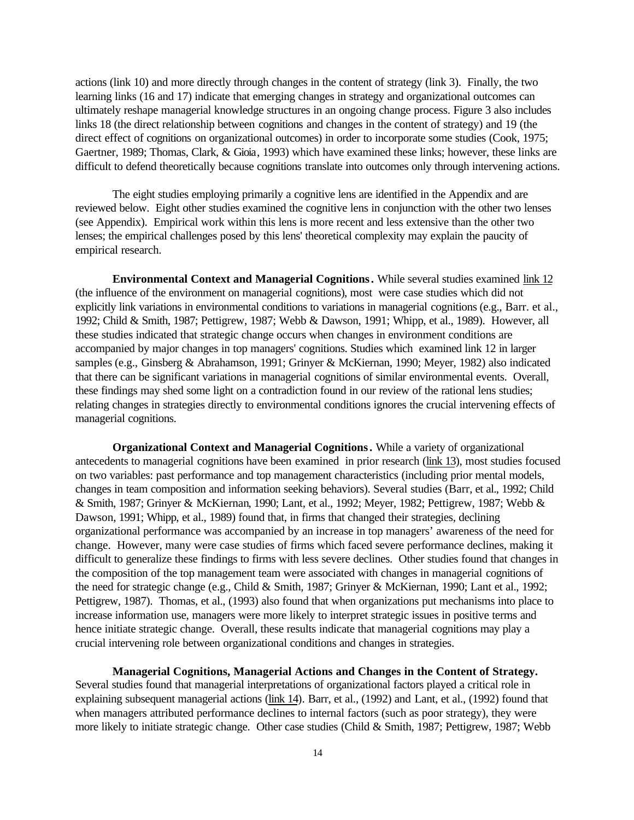actions (link 10) and more directly through changes in the content of strategy (link 3). Finally, the two learning links (16 and 17) indicate that emerging changes in strategy and organizational outcomes can ultimately reshape managerial knowledge structures in an ongoing change process. Figure 3 also includes links 18 (the direct relationship between cognitions and changes in the content of strategy) and 19 (the direct effect of cognitions on organizational outcomes) in order to incorporate some studies (Cook, 1975; Gaertner, 1989; Thomas, Clark, & Gioia, 1993) which have examined these links; however, these links are difficult to defend theoretically because cognitions translate into outcomes only through intervening actions.

The eight studies employing primarily a cognitive lens are identified in the Appendix and are reviewed below. Eight other studies examined the cognitive lens in conjunction with the other two lenses (see Appendix). Empirical work within this lens is more recent and less extensive than the other two lenses; the empirical challenges posed by this lens' theoretical complexity may explain the paucity of empirical research.

**Environmental Context and Managerial Cognitions.** While several studies examined link 12 (the influence of the environment on managerial cognitions), most were case studies which did not explicitly link variations in environmental conditions to variations in managerial cognitions (e.g., Barr. et al., 1992; Child & Smith, 1987; Pettigrew, 1987; Webb & Dawson, 1991; Whipp, et al., 1989). However, all these studies indicated that strategic change occurs when changes in environment conditions are accompanied by major changes in top managers' cognitions. Studies which examined link 12 in larger samples (e.g., Ginsberg & Abrahamson, 1991; Grinyer & McKiernan, 1990; Meyer, 1982) also indicated that there can be significant variations in managerial cognitions of similar environmental events. Overall, these findings may shed some light on a contradiction found in our review of the rational lens studies; relating changes in strategies directly to environmental conditions ignores the crucial intervening effects of managerial cognitions.

**Organizational Context and Managerial Cognitions.** While a variety of organizational antecedents to managerial cognitions have been examined in prior research (link 13), most studies focused on two variables: past performance and top management characteristics (including prior mental models, changes in team composition and information seeking behaviors). Several studies (Barr, et al., 1992; Child & Smith, 1987; Grinyer & McKiernan, 1990; Lant, et al., 1992; Meyer, 1982; Pettigrew, 1987; Webb & Dawson, 1991; Whipp, et al., 1989) found that, in firms that changed their strategies, declining organizational performance was accompanied by an increase in top managers' awareness of the need for change. However, many were case studies of firms which faced severe performance declines, making it difficult to generalize these findings to firms with less severe declines. Other studies found that changes in the composition of the top management team were associated with changes in managerial cognitions of the need for strategic change (e.g., Child & Smith, 1987; Grinyer & McKiernan, 1990; Lant et al., 1992; Pettigrew, 1987). Thomas, et al., (1993) also found that when organizations put mechanisms into place to increase information use, managers were more likely to interpret strategic issues in positive terms and hence initiate strategic change. Overall, these results indicate that managerial cognitions may play a crucial intervening role between organizational conditions and changes in strategies.

**Managerial Cognitions, Managerial Actions and Changes in the Content of Strategy.**

Several studies found that managerial interpretations of organizational factors played a critical role in explaining subsequent managerial actions (link 14). Barr, et al., (1992) and Lant, et al., (1992) found that when managers attributed performance declines to internal factors (such as poor strategy), they were more likely to initiate strategic change. Other case studies (Child & Smith, 1987; Pettigrew, 1987; Webb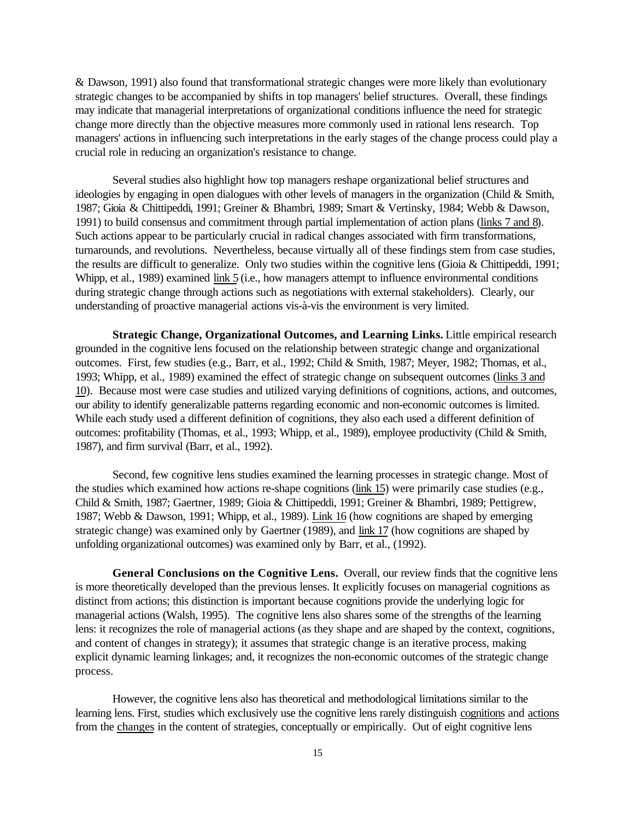& Dawson, 1991) also found that transformational strategic changes were more likely than evolutionary strategic changes to be accompanied by shifts in top managers' belief structures. Overall, these findings may indicate that managerial interpretations of organizational conditions influence the need for strategic change more directly than the objective measures more commonly used in rational lens research. Top managers' actions in influencing such interpretations in the early stages of the change process could play a crucial role in reducing an organization's resistance to change.

Several studies also highlight how top managers reshape organizational belief structures and ideologies by engaging in open dialogues with other levels of managers in the organization (Child & Smith, 1987; Gioia & Chittipeddi, 1991; Greiner & Bhambri, 1989; Smart & Vertinsky, 1984; Webb & Dawson, 1991) to build consensus and commitment through partial implementation of action plans (links 7 and 8). Such actions appear to be particularly crucial in radical changes associated with firm transformations, turnarounds, and revolutions. Nevertheless, because virtually all of these findings stem from case studies, the results are difficult to generalize. Only two studies within the cognitive lens (Gioia & Chittipeddi, 1991; Whipp, et al., 1989) examined link 5 (i.e., how managers attempt to influence environmental conditions during strategic change through actions such as negotiations with external stakeholders). Clearly, our understanding of proactive managerial actions vis-à-vis the environment is very limited.

**Strategic Change, Organizational Outcomes, and Learning Links.** Little empirical research grounded in the cognitive lens focused on the relationship between strategic change and organizational outcomes. First, few studies (e.g., Barr, et al., 1992; Child & Smith, 1987; Meyer, 1982; Thomas, et al., 1993; Whipp, et al., 1989) examined the effect of strategic change on subsequent outcomes (links 3 and 10). Because most were case studies and utilized varying definitions of cognitions, actions, and outcomes, our ability to identify generalizable patterns regarding economic and non-economic outcomes is limited. While each study used a different definition of cognitions, they also each used a different definition of outcomes: profitability (Thomas, et al., 1993; Whipp, et al., 1989), employee productivity (Child & Smith, 1987), and firm survival (Barr, et al., 1992).

Second, few cognitive lens studies examined the learning processes in strategic change. Most of the studies which examined how actions re-shape cognitions (link 15) were primarily case studies (e.g., Child & Smith, 1987; Gaertner, 1989; Gioia & Chittipeddi, 1991; Greiner & Bhambri, 1989; Pettigrew, 1987; Webb & Dawson, 1991; Whipp, et al., 1989). Link 16 (how cognitions are shaped by emerging strategic change) was examined only by Gaertner (1989), and link 17 (how cognitions are shaped by unfolding organizational outcomes) was examined only by Barr, et al., (1992).

**General Conclusions on the Cognitive Lens.** Overall, our review finds that the cognitive lens is more theoretically developed than the previous lenses. It explicitly focuses on managerial cognitions as distinct from actions; this distinction is important because cognitions provide the underlying logic for managerial actions (Walsh, 1995). The cognitive lens also shares some of the strengths of the learning lens: it recognizes the role of managerial actions (as they shape and are shaped by the context, cognitions, and content of changes in strategy); it assumes that strategic change is an iterative process, making explicit dynamic learning linkages; and, it recognizes the non-economic outcomes of the strategic change process.

However, the cognitive lens also has theoretical and methodological limitations similar to the learning lens. First, studies which exclusively use the cognitive lens rarely distinguish cognitions and actions from the changes in the content of strategies, conceptually or empirically. Out of eight cognitive lens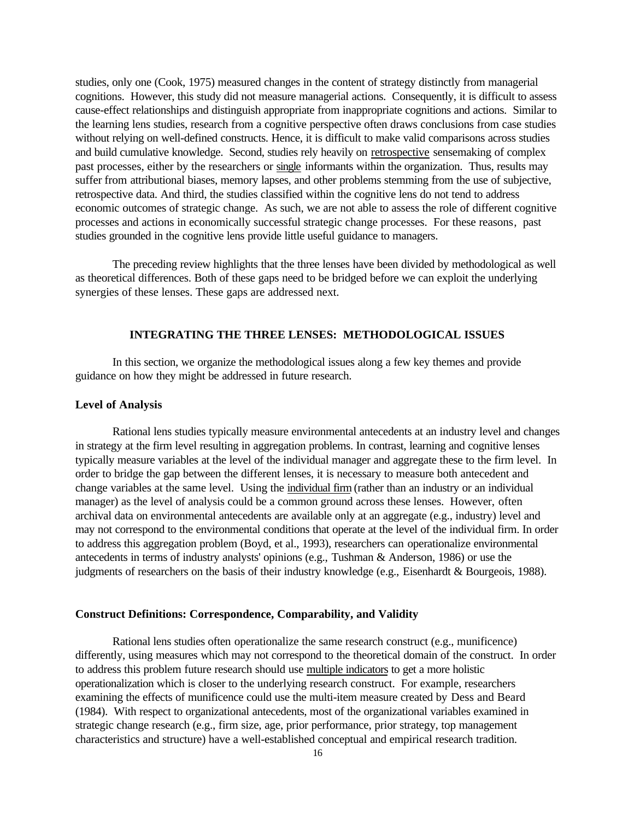studies, only one (Cook, 1975) measured changes in the content of strategy distinctly from managerial cognitions. However, this study did not measure managerial actions. Consequently, it is difficult to assess cause-effect relationships and distinguish appropriate from inappropriate cognitions and actions. Similar to the learning lens studies, research from a cognitive perspective often draws conclusions from case studies without relying on well-defined constructs. Hence, it is difficult to make valid comparisons across studies and build cumulative knowledge. Second, studies rely heavily on retrospective sensemaking of complex past processes, either by the researchers or single informants within the organization. Thus, results may suffer from attributional biases, memory lapses, and other problems stemming from the use of subjective, retrospective data. And third, the studies classified within the cognitive lens do not tend to address economic outcomes of strategic change. As such, we are not able to assess the role of different cognitive processes and actions in economically successful strategic change processes. For these reasons, past studies grounded in the cognitive lens provide little useful guidance to managers.

The preceding review highlights that the three lenses have been divided by methodological as well as theoretical differences. Both of these gaps need to be bridged before we can exploit the underlying synergies of these lenses. These gaps are addressed next.

### **INTEGRATING THE THREE LENSES: METHODOLOGICAL ISSUES**

In this section, we organize the methodological issues along a few key themes and provide guidance on how they might be addressed in future research.

### **Level of Analysis**

Rational lens studies typically measure environmental antecedents at an industry level and changes in strategy at the firm level resulting in aggregation problems. In contrast, learning and cognitive lenses typically measure variables at the level of the individual manager and aggregate these to the firm level. In order to bridge the gap between the different lenses, it is necessary to measure both antecedent and change variables at the same level. Using the individual firm (rather than an industry or an individual manager) as the level of analysis could be a common ground across these lenses. However, often archival data on environmental antecedents are available only at an aggregate (e.g., industry) level and may not correspond to the environmental conditions that operate at the level of the individual firm. In order to address this aggregation problem (Boyd, et al., 1993), researchers can operationalize environmental antecedents in terms of industry analysts' opinions (e.g., Tushman & Anderson, 1986) or use the judgments of researchers on the basis of their industry knowledge (e.g., Eisenhardt & Bourgeois, 1988).

## **Construct Definitions: Correspondence, Comparability, and Validity**

Rational lens studies often operationalize the same research construct (e.g., munificence) differently, using measures which may not correspond to the theoretical domain of the construct. In order to address this problem future research should use multiple indicators to get a more holistic operationalization which is closer to the underlying research construct. For example, researchers examining the effects of munificence could use the multi-item measure created by Dess and Beard (1984). With respect to organizational antecedents, most of the organizational variables examined in strategic change research (e.g., firm size, age, prior performance, prior strategy, top management characteristics and structure) have a well-established conceptual and empirical research tradition.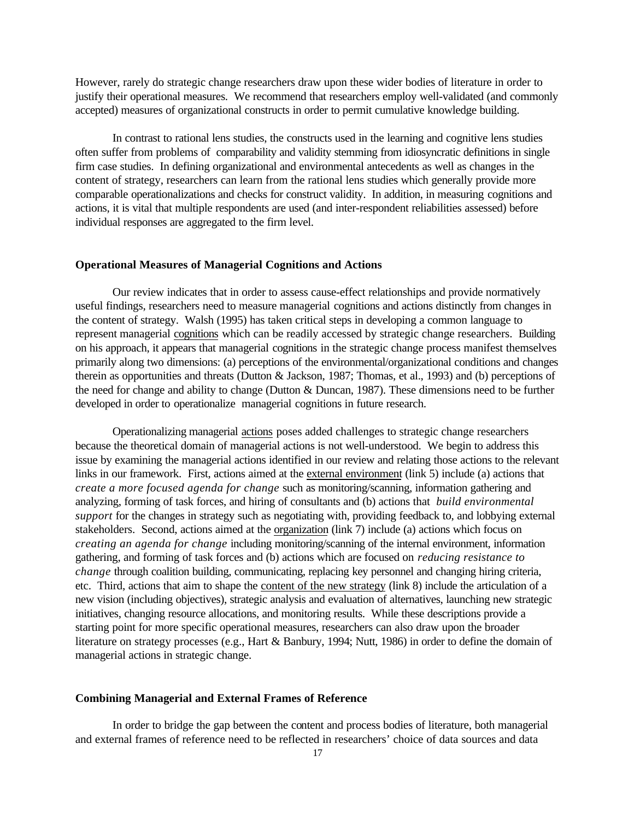However, rarely do strategic change researchers draw upon these wider bodies of literature in order to justify their operational measures. We recommend that researchers employ well-validated (and commonly accepted) measures of organizational constructs in order to permit cumulative knowledge building.

In contrast to rational lens studies, the constructs used in the learning and cognitive lens studies often suffer from problems of comparability and validity stemming from idiosyncratic definitions in single firm case studies. In defining organizational and environmental antecedents as well as changes in the content of strategy, researchers can learn from the rational lens studies which generally provide more comparable operationalizations and checks for construct validity. In addition, in measuring cognitions and actions, it is vital that multiple respondents are used (and inter-respondent reliabilities assessed) before individual responses are aggregated to the firm level.

### **Operational Measures of Managerial Cognitions and Actions**

Our review indicates that in order to assess cause-effect relationships and provide normatively useful findings, researchers need to measure managerial cognitions and actions distinctly from changes in the content of strategy. Walsh (1995) has taken critical steps in developing a common language to represent managerial cognitions which can be readily accessed by strategic change researchers. Building on his approach, it appears that managerial cognitions in the strategic change process manifest themselves primarily along two dimensions: (a) perceptions of the environmental/organizational conditions and changes therein as opportunities and threats (Dutton & Jackson, 1987; Thomas, et al., 1993) and (b) perceptions of the need for change and ability to change (Dutton & Duncan, 1987). These dimensions need to be further developed in order to operationalize managerial cognitions in future research.

Operationalizing managerial actions poses added challenges to strategic change researchers because the theoretical domain of managerial actions is not well-understood. We begin to address this issue by examining the managerial actions identified in our review and relating those actions to the relevant links in our framework. First, actions aimed at the external environment (link 5) include (a) actions that *create a more focused agenda for change* such as monitoring/scanning, information gathering and analyzing, forming of task forces, and hiring of consultants and (b) actions that *build environmental support* for the changes in strategy such as negotiating with, providing feedback to, and lobbying external stakeholders. Second, actions aimed at the organization (link 7) include (a) actions which focus on *creating an agenda for change* including monitoring/scanning of the internal environment, information gathering, and forming of task forces and (b) actions which are focused on *reducing resistance to change* through coalition building, communicating, replacing key personnel and changing hiring criteria, etc. Third, actions that aim to shape the content of the new strategy (link 8) include the articulation of a new vision (including objectives), strategic analysis and evaluation of alternatives, launching new strategic initiatives, changing resource allocations, and monitoring results. While these descriptions provide a starting point for more specific operational measures, researchers can also draw upon the broader literature on strategy processes (e.g., Hart & Banbury, 1994; Nutt, 1986) in order to define the domain of managerial actions in strategic change.

### **Combining Managerial and External Frames of Reference**

In order to bridge the gap between the content and process bodies of literature, both managerial and external frames of reference need to be reflected in researchers' choice of data sources and data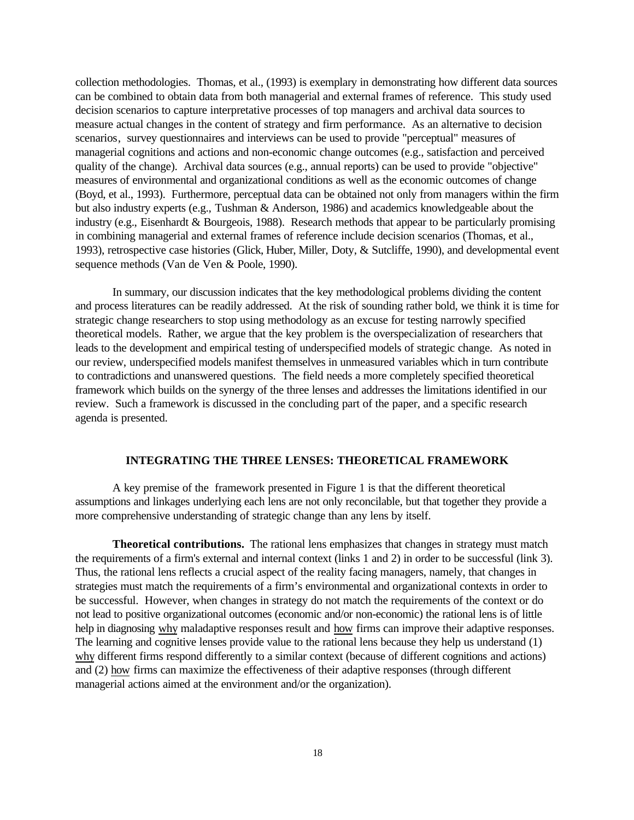collection methodologies. Thomas, et al., (1993) is exemplary in demonstrating how different data sources can be combined to obtain data from both managerial and external frames of reference. This study used decision scenarios to capture interpretative processes of top managers and archival data sources to measure actual changes in the content of strategy and firm performance. As an alternative to decision scenarios, survey questionnaires and interviews can be used to provide "perceptual" measures of managerial cognitions and actions and non-economic change outcomes (e.g., satisfaction and perceived quality of the change). Archival data sources (e.g., annual reports) can be used to provide "objective" measures of environmental and organizational conditions as well as the economic outcomes of change (Boyd, et al., 1993). Furthermore, perceptual data can be obtained not only from managers within the firm but also industry experts (e.g., Tushman & Anderson, 1986) and academics knowledgeable about the industry (e.g., Eisenhardt & Bourgeois, 1988). Research methods that appear to be particularly promising in combining managerial and external frames of reference include decision scenarios (Thomas, et al., 1993), retrospective case histories (Glick, Huber, Miller, Doty, & Sutcliffe, 1990), and developmental event sequence methods (Van de Ven & Poole, 1990).

In summary, our discussion indicates that the key methodological problems dividing the content and process literatures can be readily addressed. At the risk of sounding rather bold, we think it is time for strategic change researchers to stop using methodology as an excuse for testing narrowly specified theoretical models. Rather, we argue that the key problem is the overspecialization of researchers that leads to the development and empirical testing of underspecified models of strategic change. As noted in our review, underspecified models manifest themselves in unmeasured variables which in turn contribute to contradictions and unanswered questions. The field needs a more completely specified theoretical framework which builds on the synergy of the three lenses and addresses the limitations identified in our review. Such a framework is discussed in the concluding part of the paper, and a specific research agenda is presented.

## **INTEGRATING THE THREE LENSES: THEORETICAL FRAMEWORK**

A key premise of the framework presented in Figure 1 is that the different theoretical assumptions and linkages underlying each lens are not only reconcilable, but that together they provide a more comprehensive understanding of strategic change than any lens by itself.

**Theoretical contributions.** The rational lens emphasizes that changes in strategy must match the requirements of a firm's external and internal context (links 1 and 2) in order to be successful (link 3). Thus, the rational lens reflects a crucial aspect of the reality facing managers, namely, that changes in strategies must match the requirements of a firm's environmental and organizational contexts in order to be successful. However, when changes in strategy do not match the requirements of the context or do not lead to positive organizational outcomes (economic and/or non-economic) the rational lens is of little help in diagnosing why maladaptive responses result and how firms can improve their adaptive responses. The learning and cognitive lenses provide value to the rational lens because they help us understand (1) why different firms respond differently to a similar context (because of different cognitions and actions) and (2) how firms can maximize the effectiveness of their adaptive responses (through different managerial actions aimed at the environment and/or the organization).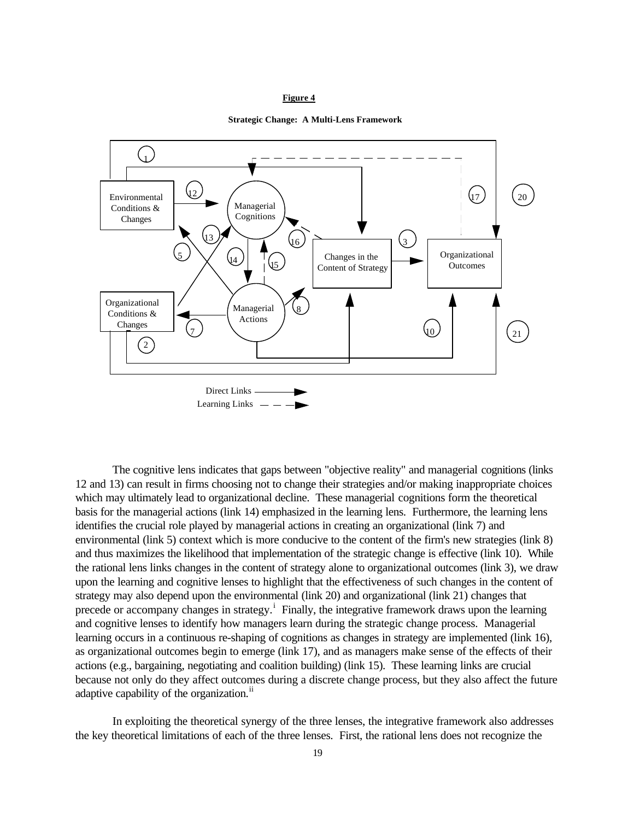#### **Figure 4**





The cognitive lens indicates that gaps between "objective reality" and managerial cognitions (links 12 and 13) can result in firms choosing not to change their strategies and/or making inappropriate choices which may ultimately lead to organizational decline. These managerial cognitions form the theoretical basis for the managerial actions (link 14) emphasized in the learning lens. Furthermore, the learning lens identifies the crucial role played by managerial actions in creating an organizational (link 7) and environmental (link 5) context which is more conducive to the content of the firm's new strategies (link 8) and thus maximizes the likelihood that implementation of the strategic change is effective (link 10). While the rational lens links changes in the content of strategy alone to organizational outcomes (link 3), we draw upon the learning and cognitive lenses to highlight that the effectiveness of such changes in the content of strategy may also depend upon the environmental (link 20) and organizational (link 21) changes that precede or accompany changes in strategy.<sup>i</sup> Finally, the integrative framework draws upon the learning and cognitive lenses to identify how managers learn during the strategic change process. Managerial learning occurs in a continuous re-shaping of cognitions as changes in strategy are implemented (link 16), as organizational outcomes begin to emerge (link 17), and as managers make sense of the effects of their actions (e.g., bargaining, negotiating and coalition building) (link 15). These learning links are crucial because not only do they affect outcomes during a discrete change process, but they also affect the future adaptive capability of the organization.<sup>ii</sup>

In exploiting the theoretical synergy of the three lenses, the integrative framework also addresses the key theoretical limitations of each of the three lenses. First, the rational lens does not recognize the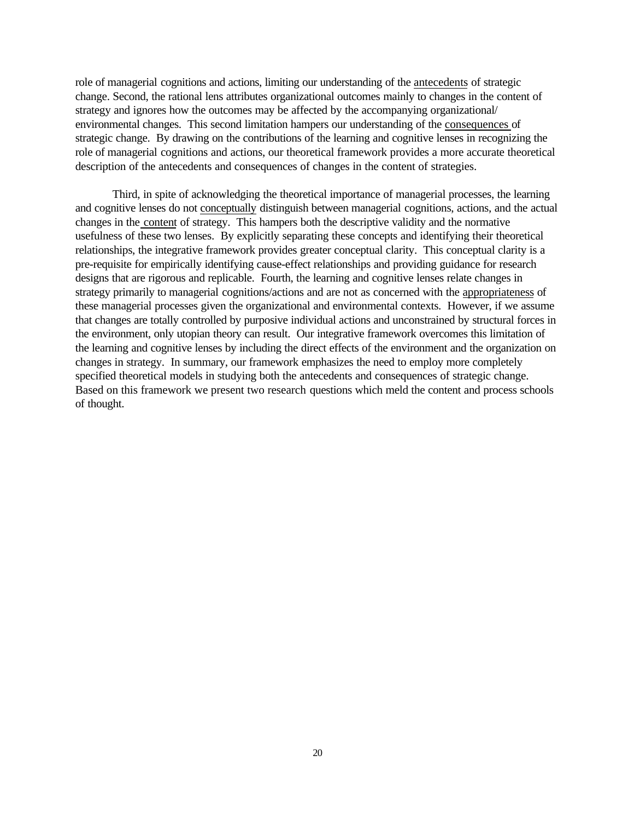role of managerial cognitions and actions, limiting our understanding of the antecedents of strategic change. Second, the rational lens attributes organizational outcomes mainly to changes in the content of strategy and ignores how the outcomes may be affected by the accompanying organizational/ environmental changes. This second limitation hampers our understanding of the consequences of strategic change. By drawing on the contributions of the learning and cognitive lenses in recognizing the role of managerial cognitions and actions, our theoretical framework provides a more accurate theoretical description of the antecedents and consequences of changes in the content of strategies.

Third, in spite of acknowledging the theoretical importance of managerial processes, the learning and cognitive lenses do not conceptually distinguish between managerial cognitions, actions, and the actual changes in the content of strategy. This hampers both the descriptive validity and the normative usefulness of these two lenses. By explicitly separating these concepts and identifying their theoretical relationships, the integrative framework provides greater conceptual clarity. This conceptual clarity is a pre-requisite for empirically identifying cause-effect relationships and providing guidance for research designs that are rigorous and replicable. Fourth, the learning and cognitive lenses relate changes in strategy primarily to managerial cognitions/actions and are not as concerned with the appropriateness of these managerial processes given the organizational and environmental contexts. However, if we assume that changes are totally controlled by purposive individual actions and unconstrained by structural forces in the environment, only utopian theory can result. Our integrative framework overcomes this limitation of the learning and cognitive lenses by including the direct effects of the environment and the organization on changes in strategy. In summary, our framework emphasizes the need to employ more completely specified theoretical models in studying both the antecedents and consequences of strategic change. Based on this framework we present two research questions which meld the content and process schools of thought.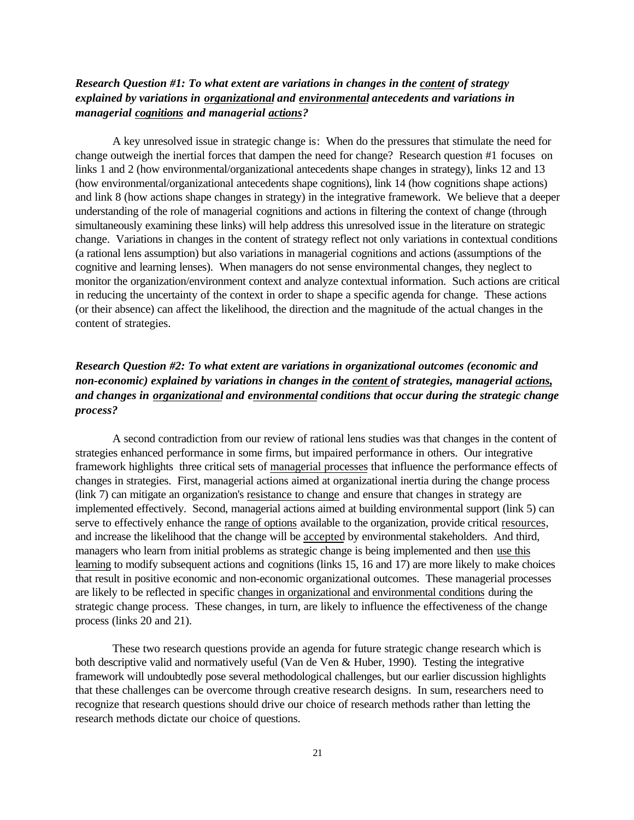# *Research Question #1: To what extent are variations in changes in the content of strategy explained by variations in organizational and environmental antecedents and variations in managerial cognitions and managerial actions?*

A key unresolved issue in strategic change is: When do the pressures that stimulate the need for change outweigh the inertial forces that dampen the need for change? Research question #1 focuses on links 1 and 2 (how environmental/organizational antecedents shape changes in strategy), links 12 and 13 (how environmental/organizational antecedents shape cognitions), link 14 (how cognitions shape actions) and link 8 (how actions shape changes in strategy) in the integrative framework. We believe that a deeper understanding of the role of managerial cognitions and actions in filtering the context of change (through simultaneously examining these links) will help address this unresolved issue in the literature on strategic change. Variations in changes in the content of strategy reflect not only variations in contextual conditions (a rational lens assumption) but also variations in managerial cognitions and actions (assumptions of the cognitive and learning lenses). When managers do not sense environmental changes, they neglect to monitor the organization/environment context and analyze contextual information. Such actions are critical in reducing the uncertainty of the context in order to shape a specific agenda for change. These actions (or their absence) can affect the likelihood, the direction and the magnitude of the actual changes in the content of strategies.

# *Research Question #2: To what extent are variations in organizational outcomes (economic and non-economic) explained by variations in changes in the content of strategies, managerial actions, and changes in organizational and environmental conditions that occur during the strategic change process?*

A second contradiction from our review of rational lens studies was that changes in the content of strategies enhanced performance in some firms, but impaired performance in others. Our integrative framework highlights three critical sets of managerial processes that influence the performance effects of changes in strategies. First, managerial actions aimed at organizational inertia during the change process (link 7) can mitigate an organization's resistance to change and ensure that changes in strategy are implemented effectively. Second, managerial actions aimed at building environmental support (link 5) can serve to effectively enhance the range of options available to the organization, provide critical resources, and increase the likelihood that the change will be accepted by environmental stakeholders. And third, managers who learn from initial problems as strategic change is being implemented and then use this learning to modify subsequent actions and cognitions (links 15, 16 and 17) are more likely to make choices that result in positive economic and non-economic organizational outcomes. These managerial processes are likely to be reflected in specific changes in organizational and environmental conditions during the strategic change process. These changes, in turn, are likely to influence the effectiveness of the change process (links 20 and 21).

These two research questions provide an agenda for future strategic change research which is both descriptive valid and normatively useful (Van de Ven & Huber, 1990). Testing the integrative framework will undoubtedly pose several methodological challenges, but our earlier discussion highlights that these challenges can be overcome through creative research designs. In sum, researchers need to recognize that research questions should drive our choice of research methods rather than letting the research methods dictate our choice of questions.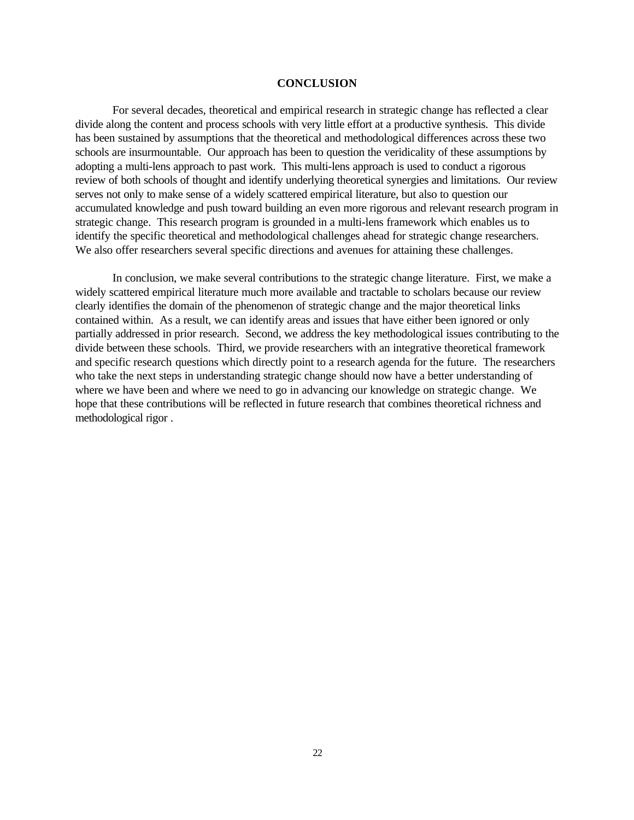### **CONCLUSION**

For several decades, theoretical and empirical research in strategic change has reflected a clear divide along the content and process schools with very little effort at a productive synthesis. This divide has been sustained by assumptions that the theoretical and methodological differences across these two schools are insurmountable. Our approach has been to question the veridicality of these assumptions by adopting a multi-lens approach to past work. This multi-lens approach is used to conduct a rigorous review of both schools of thought and identify underlying theoretical synergies and limitations. Our review serves not only to make sense of a widely scattered empirical literature, but also to question our accumulated knowledge and push toward building an even more rigorous and relevant research program in strategic change. This research program is grounded in a multi-lens framework which enables us to identify the specific theoretical and methodological challenges ahead for strategic change researchers. We also offer researchers several specific directions and avenues for attaining these challenges.

In conclusion, we make several contributions to the strategic change literature. First, we make a widely scattered empirical literature much more available and tractable to scholars because our review clearly identifies the domain of the phenomenon of strategic change and the major theoretical links contained within. As a result, we can identify areas and issues that have either been ignored or only partially addressed in prior research. Second, we address the key methodological issues contributing to the divide between these schools. Third, we provide researchers with an integrative theoretical framework and specific research questions which directly point to a research agenda for the future. The researchers who take the next steps in understanding strategic change should now have a better understanding of where we have been and where we need to go in advancing our knowledge on strategic change. We hope that these contributions will be reflected in future research that combines theoretical richness and methodological rigor .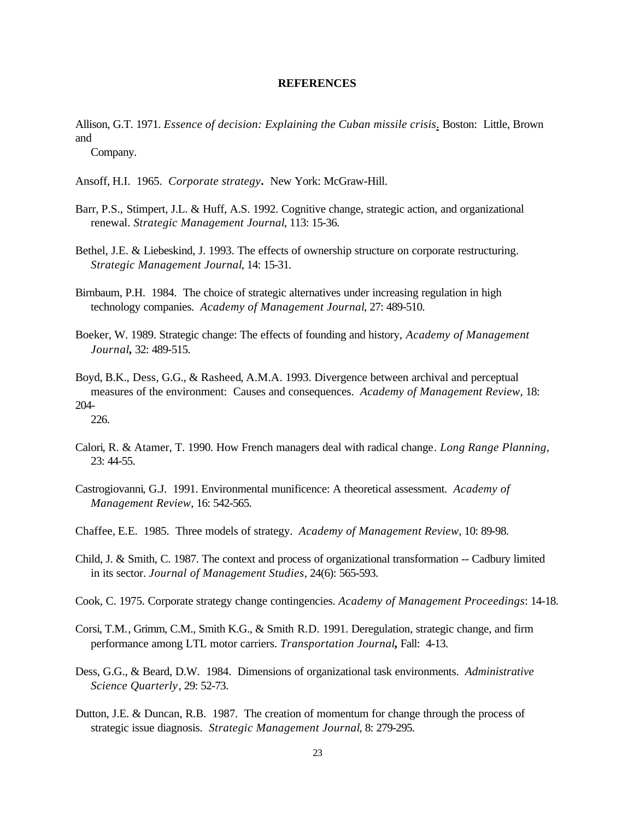### **REFERENCES**

Allison, G.T. 1971. *Essence of decision: Explaining the Cuban missile crisis*. Boston: Little, Brown and

Company.

- Ansoff, H.I. 1965. *Corporate strategy***.** New York: McGraw-Hill.
- Barr, P.S., Stimpert, J.L. & Huff, A.S. 1992. Cognitive change, strategic action, and organizational renewal. *Strategic Management Journal*, 113: 15-36.
- Bethel, J.E. & Liebeskind, J. 1993. The effects of ownership structure on corporate restructuring. *Strategic Management Journal*, 14: 15-31.
- Birnbaum, P.H. 1984. The choice of strategic alternatives under increasing regulation in high technology companies. *Academy of Management Journal*, 27: 489-510.
- Boeker, W. 1989. Strategic change: The effects of founding and history, *Academy of Management Journal***,** 32: 489-515.
- Boyd, B.K., Dess, G.G., & Rasheed, A.M.A. 1993. Divergence between archival and perceptual measures of the environment: Causes and consequences. *Academy of Management Review*, 18: 204- 226.
- Calori, R. & Atamer, T. 1990. How French managers deal with radical change. *Long Range Planning,* 23: 44-55.
- Castrogiovanni, G.J. 1991. Environmental munificence: A theoretical assessment. *Academy of Management Review*, 16: 542-565.
- Chaffee, E.E. 1985. Three models of strategy. *Academy of Management Review*, 10: 89-98.
- Child, J. & Smith, C. 1987. The context and process of organizational transformation -- Cadbury limited in its sector. *Journal of Management Studies*, 24(6): 565-593.
- Cook, C. 1975. Corporate strategy change contingencies. *Academy of Management Proceedings*: 14-18.
- Corsi, T.M., Grimm, C.M., Smith K.G., & Smith R.D. 1991. Deregulation, strategic change, and firm performance among LTL motor carriers. *Transportation Journal***,** Fall: 4-13.
- Dess, G.G., & Beard, D.W. 1984. Dimensions of organizational task environments. *Administrative Science Quarterly*, 29: 52-73.
- Dutton, J.E. & Duncan, R.B. 1987. The creation of momentum for change through the process of strategic issue diagnosis. *Strategic Management Journal*, 8: 279-295.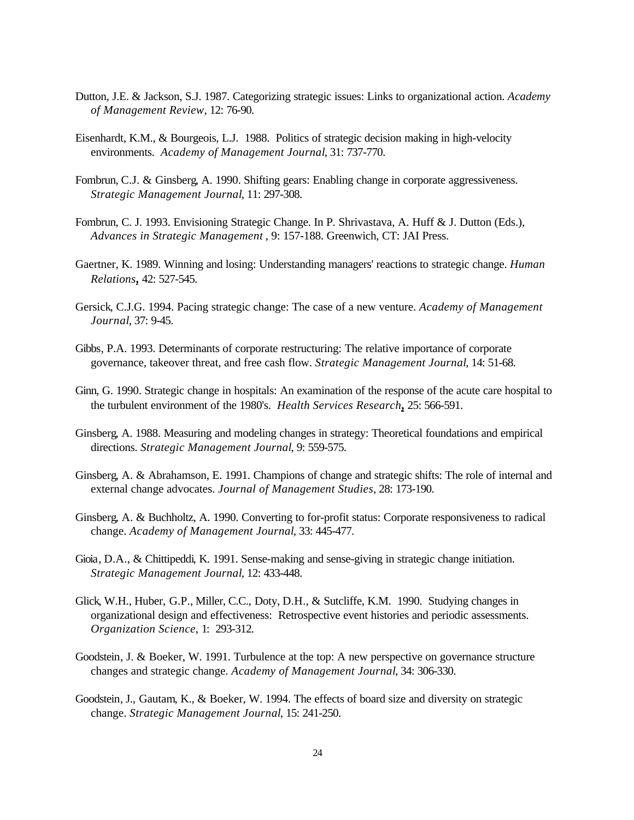- Dutton, J.E. & Jackson, S.J. 1987. Categorizing strategic issues: Links to organizational action. *Academy of Management Review*, 12: 76-90.
- Eisenhardt, K.M., & Bourgeois, L.J. 1988. Politics of strategic decision making in high-velocity environments. *Academy of Management Journal*, 31: 737-770.
- Fombrun, C.J. & Ginsberg, A. 1990. Shifting gears: Enabling change in corporate aggressiveness. *Strategic Management Journal*, 11: 297-308.
- Fombrun, C. J. 1993. Envisioning Strategic Change. In P. Shrivastava, A. Huff & J. Dutton (Eds.), *Advances in Strategic Management* , 9: 157-188. Greenwich, CT: JAI Press.
- Gaertner, K. 1989. Winning and losing: Understanding managers' reactions to strategic change. *Human Relations***,** 42: 527-545.
- Gersick, C.J.G. 1994. Pacing strategic change: The case of a new venture. *Academy of Management Journal*, 37: 9-45.
- Gibbs, P.A. 1993. Determinants of corporate restructuring: The relative importance of corporate governance, takeover threat, and free cash flow. *Strategic Management Journal*, 14: 51-68.
- Ginn, G. 1990. Strategic change in hospitals: An examination of the response of the acute care hospital to the turbulent environment of the 1980's. *Health Services Research***,** 25: 566-591.
- Ginsberg, A. 1988. Measuring and modeling changes in strategy: Theoretical foundations and empirical directions. *Strategic Management Journal*, 9: 559-575.
- Ginsberg, A. & Abrahamson, E. 1991. Champions of change and strategic shifts: The role of internal and external change advocates. *Journal of Management Studies*, 28: 173-190.
- Ginsberg, A. & Buchholtz, A. 1990. Converting to for-profit status: Corporate responsiveness to radical change. *Academy of Management Journal*, 33: 445-477.
- Gioia, D.A., & Chittipeddi, K. 1991. Sense-making and sense-giving in strategic change initiation. *Strategic Management Journal*, 12: 433-448.
- Glick, W.H., Huber, G.P., Miller, C.C., Doty, D.H., & Sutcliffe, K.M. 1990. Studying changes in organizational design and effectiveness: Retrospective event histories and periodic assessments. *Organization Science*, 1: 293-312.
- Goodstein, J. & Boeker, W. 1991. Turbulence at the top: A new perspective on governance structure changes and strategic change. *Academy of Management Journal*, 34: 306-330.
- Goodstein, J., Gautam, K., & Boeker, W. 1994. The effects of board size and diversity on strategic change. *Strategic Management Journal*, 15: 241-250.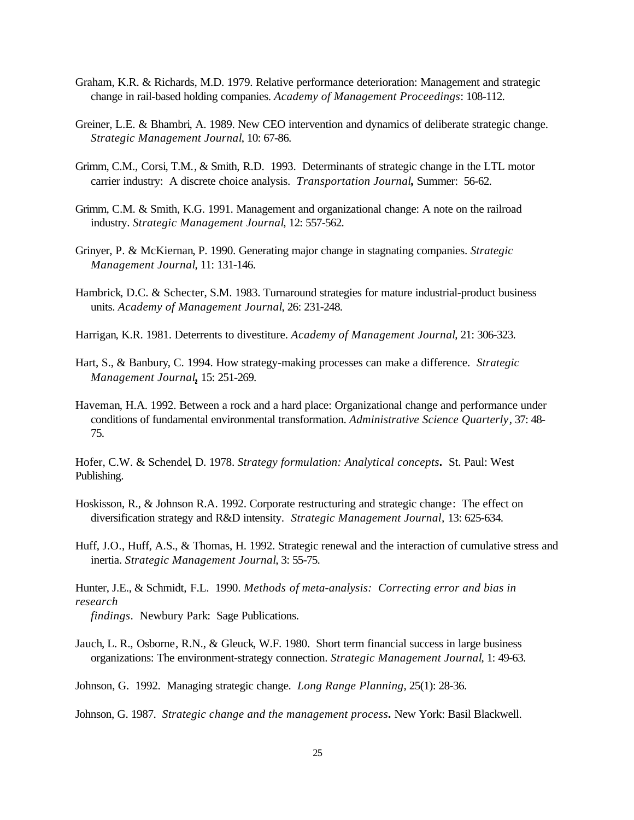- Graham, K.R. & Richards, M.D. 1979. Relative performance deterioration: Management and strategic change in rail-based holding companies. *Academy of Management Proceedings*: 108-112.
- Greiner, L.E. & Bhambri, A. 1989. New CEO intervention and dynamics of deliberate strategic change. *Strategic Management Journal*, 10: 67-86.
- Grimm, C.M., Corsi, T.M., & Smith, R.D. 1993. Determinants of strategic change in the LTL motor carrier industry: A discrete choice analysis. *Transportation Journal***,** Summer: 56-62.
- Grimm, C.M. & Smith, K.G. 1991. Management and organizational change: A note on the railroad industry. *Strategic Management Journal*, 12: 557-562.
- Grinyer, P. & McKiernan, P. 1990. Generating major change in stagnating companies. *Strategic Management Journal*, 11: 131-146.
- Hambrick, D.C. & Schecter, S.M. 1983. Turnaround strategies for mature industrial-product business units. *Academy of Management Journal*, 26: 231-248.
- Harrigan, K.R. 1981. Deterrents to divestiture. *Academy of Management Journal*, 21: 306-323.
- Hart, S., & Banbury, C. 1994. How strategy-making processes can make a difference.*Strategic Management Journal***,** 15: 251-269.
- Haveman, H.A. 1992. Between a rock and a hard place: Organizational change and performance under conditions of fundamental environmental transformation. *Administrative Science Quarterly*, 37: 48- 75.

Hofer, C.W. & Schendel, D. 1978. *Strategy formulation: Analytical concepts***.** St. Paul: West Publishing.

- Hoskisson, R., & Johnson R.A. 1992. Corporate restructuring and strategic change: The effect on diversification strategy and R&D intensity.*Strategic Management Journal,* 13: 625-634.
- Huff, J.O., Huff, A.S., & Thomas, H. 1992. Strategic renewal and the interaction of cumulative stress and inertia. *Strategic Management Journal*, 3: 55-75.

Hunter, J.E., & Schmidt, F.L. 1990. *Methods of meta-analysis: Correcting error and bias in research findings*. Newbury Park: Sage Publications.

- Jauch, L. R., Osborne, R.N., & Gleuck, W.F. 1980. Short term financial success in large business organizations: The environment-strategy connection. *Strategic Management Journal*, 1: 49-63.
- Johnson, G. 1992. Managing strategic change. *Long Range Planning*, 25(1): 28-36.

Johnson, G. 1987. *Strategic change and the management process***.** New York: Basil Blackwell.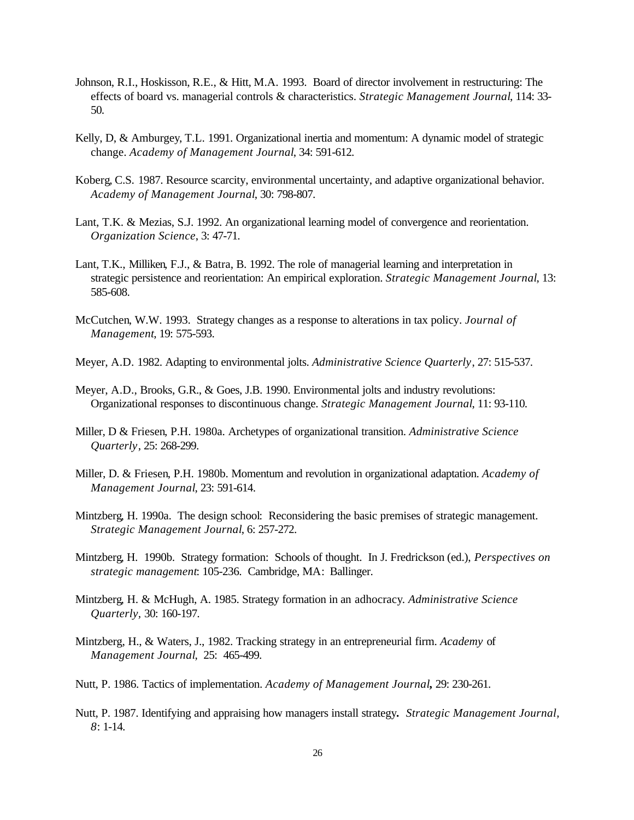- Johnson, R.I., Hoskisson, R.E., & Hitt, M.A. 1993. Board of director involvement in restructuring: The effects of board vs. managerial controls & characteristics. *Strategic Management Journal*, 114: 33- 50.
- Kelly, D, & Amburgey, T.L. 1991. Organizational inertia and momentum: A dynamic model of strategic change. *Academy of Management Journal*, 34: 591-612.
- Koberg, C.S. 1987. Resource scarcity, environmental uncertainty, and adaptive organizational behavior. *Academy of Management Journal*, 30: 798-807.
- Lant, T.K. & Mezias, S.J. 1992. An organizational learning model of convergence and reorientation. *Organization Science*, 3: 47-71.
- Lant, T.K., Milliken, F.J., & Batra, B. 1992. The role of managerial learning and interpretation in strategic persistence and reorientation: An empirical exploration. *Strategic Management Journal*, 13: 585-608.
- McCutchen, W.W. 1993. Strategy changes as a response to alterations in tax policy. *Journal of Management*, 19: 575-593.
- Meyer, A.D. 1982. Adapting to environmental jolts. *Administrative Science Quarterly*, 27: 515-537.
- Meyer, A.D., Brooks, G.R., & Goes, J.B. 1990. Environmental jolts and industry revolutions: Organizational responses to discontinuous change. *Strategic Management Journal*, 11: 93-110.
- Miller, D & Friesen, P.H. 1980a. Archetypes of organizational transition. *Administrative Science Quarterly*, 25: 268-299.
- Miller, D. & Friesen, P.H. 1980b. Momentum and revolution in organizational adaptation. *Academy of Management Journal*, 23: 591-614.
- Mintzberg, H. 1990a. The design school: Reconsidering the basic premises of strategic management. *Strategic Management Journal*, 6: 257-272.
- Mintzberg, H. 1990b. Strategy formation: Schools of thought. In J. Fredrickson (ed.), *Perspectives on strategic management*: 105-236. Cambridge, MA: Ballinger.
- Mintzberg, H. & McHugh, A. 1985. Strategy formation in an adhocracy. *Administrative Science Quarterly,* 30: 160-197.
- Mintzberg, H., & Waters, J., 1982. Tracking strategy in an entrepreneurial firm. *Academy* of *Management Journal*, 25: 465-499.
- Nutt, P. 1986. Tactics of implementation. *Academy of Management Journal***,** 29: 230-261.
- Nutt, P. 1987. Identifying and appraising how managers install strategy*. Strategic Management Journal, 8*: 1-14.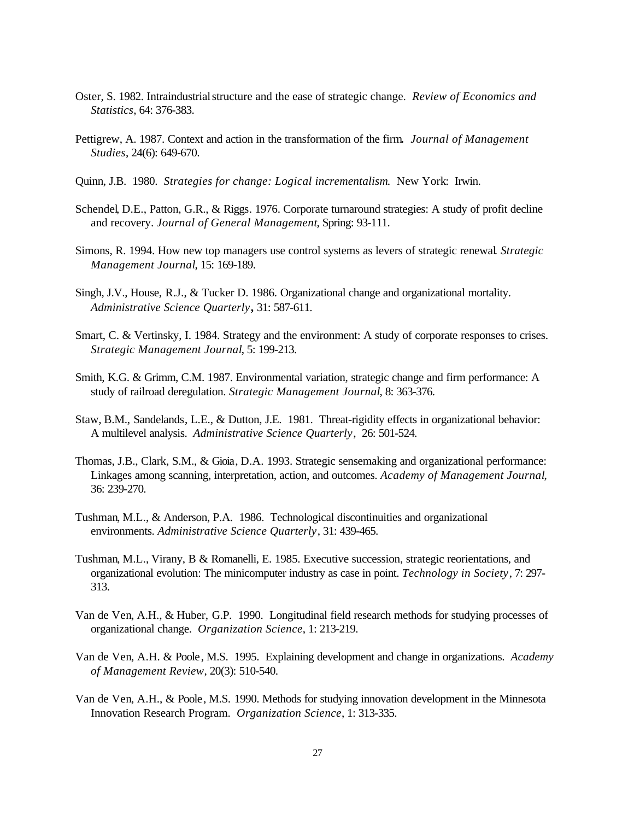- Oster, S. 1982. Intraindustrial structure and the ease of strategic change. *Review of Economics and Statistics*, 64: 376-383.
- Pettigrew, A. 1987. Context and action in the transformation of the firm*. Journal of Management Studies*, 24(6): 649-670.
- Quinn, J.B. 1980. *Strategies for change: Logical incrementalism*. New York: Irwin.
- Schendel, D.E., Patton, G.R., & Riggs. 1976. Corporate turnaround strategies: A study of profit decline and recovery. *Journal of General Management*, Spring: 93-111.
- Simons, R. 1994. How new top managers use control systems as levers of strategic renewal. *Strategic Management Journal*, 15: 169-189.
- Singh, J.V., House, R.J., & Tucker D. 1986. Organizational change and organizational mortality. *Administrative Science Quarterly***,** 31: 587-611.
- Smart, C. & Vertinsky, I. 1984. Strategy and the environment: A study of corporate responses to crises. *Strategic Management Journal*, 5: 199-213.
- Smith, K.G. & Grimm, C.M. 1987. Environmental variation, strategic change and firm performance: A study of railroad deregulation. *Strategic Management Journal*, 8: 363-376.
- Staw, B.M., Sandelands, L.E., & Dutton, J.E. 1981. Threat-rigidity effects in organizational behavior: A multilevel analysis. *Administrative Science Quarterly*, 26: 501-524.
- Thomas, J.B., Clark, S.M., & Gioia, D.A. 1993. Strategic sensemaking and organizational performance: Linkages among scanning, interpretation, action, and outcomes. *Academy of Management Journal*, 36: 239-270.
- Tushman, M.L., & Anderson, P.A. 1986. Technological discontinuities and organizational environments. *Administrative Science Quarterly*, 31: 439-465.
- Tushman, M.L., Virany, B & Romanelli, E. 1985. Executive succession, strategic reorientations, and organizational evolution: The minicomputer industry as case in point. *Technology in Society*, 7: 297- 313.
- Van de Ven, A.H., & Huber, G.P. 1990. Longitudinal field research methods for studying processes of organizational change. *Organization Science*, 1: 213-219.
- Van de Ven, A.H. & Poole, M.S. 1995. Explaining development and change in organizations. *Academy of Management Review*, 20(3): 510-540.
- Van de Ven, A.H., & Poole, M.S. 1990. Methods for studying innovation development in the Minnesota Innovation Research Program. *Organization Science*, 1: 313-335.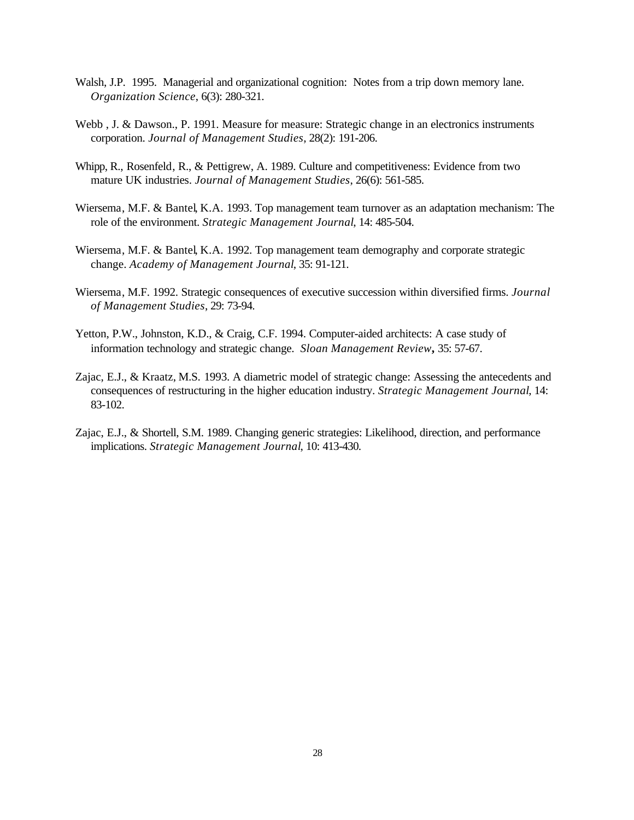- Walsh, J.P. 1995. Managerial and organizational cognition: Notes from a trip down memory lane. *Organization Science*, 6(3): 280-321.
- Webb , J. & Dawson., P. 1991. Measure for measure: Strategic change in an electronics instruments corporation. *Journal of Management Studies*, 28(2): 191-206.
- Whipp, R., Rosenfeld, R., & Pettigrew, A. 1989. Culture and competitiveness: Evidence from two mature UK industries. *Journal of Management Studies*, 26(6): 561-585.
- Wiersema, M.F. & Bantel, K.A. 1993. Top management team turnover as an adaptation mechanism: The role of the environment. *Strategic Management Journal*, 14: 485-504.
- Wiersema, M.F. & Bantel, K.A. 1992. Top management team demography and corporate strategic change. *Academy of Management Journal*, 35: 91-121.
- Wiersema, M.F. 1992. Strategic consequences of executive succession within diversified firms. *Journal of Management Studies*, 29: 73-94.
- Yetton, P.W., Johnston, K.D., & Craig, C.F. 1994. Computer-aided architects: A case study of information technology and strategic change. *Sloan Management Review***,** 35: 57-67.
- Zajac, E.J., & Kraatz, M.S. 1993. A diametric model of strategic change: Assessing the antecedents and consequences of restructuring in the higher education industry. *Strategic Management Journal*, 14: 83-102.
- Zajac, E.J., & Shortell, S.M. 1989. Changing generic strategies: Likelihood, direction, and performance implications. *Strategic Management Journal*, 10: 413-430.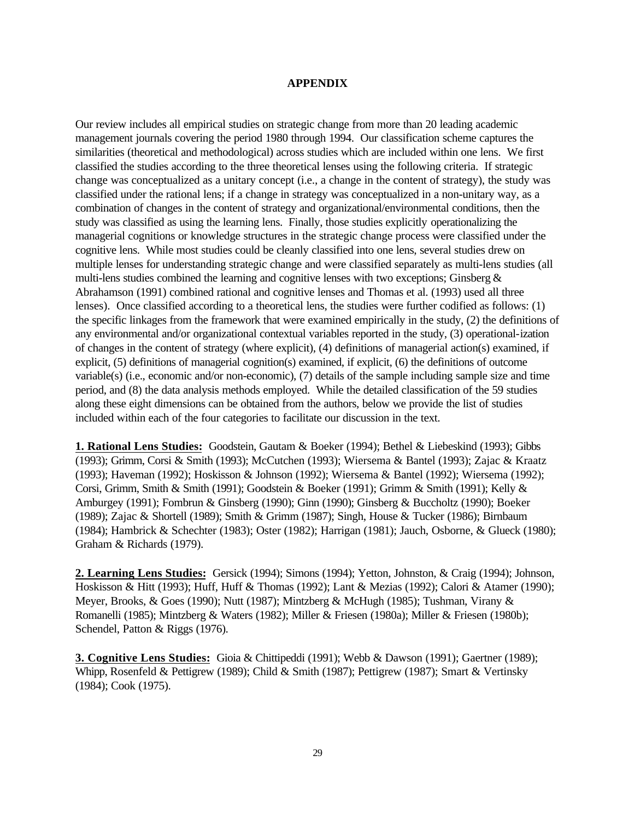## **APPENDIX**

Our review includes all empirical studies on strategic change from more than 20 leading academic management journals covering the period 1980 through 1994. Our classification scheme captures the similarities (theoretical and methodological) across studies which are included within one lens. We first classified the studies according to the three theoretical lenses using the following criteria. If strategic change was conceptualized as a unitary concept (i.e., a change in the content of strategy), the study was classified under the rational lens; if a change in strategy was conceptualized in a non-unitary way, as a combination of changes in the content of strategy and organizational/environmental conditions, then the study was classified as using the learning lens. Finally, those studies explicitly operationalizing the managerial cognitions or knowledge structures in the strategic change process were classified under the cognitive lens. While most studies could be cleanly classified into one lens, several studies drew on multiple lenses for understanding strategic change and were classified separately as multi-lens studies (all multi-lens studies combined the learning and cognitive lenses with two exceptions; Ginsberg  $\&$ Abrahamson (1991) combined rational and cognitive lenses and Thomas et al. (1993) used all three lenses). Once classified according to a theoretical lens, the studies were further codified as follows: (1) the specific linkages from the framework that were examined empirically in the study, (2) the definitions of any environmental and/or organizational contextual variables reported in the study, (3) operational-ization of changes in the content of strategy (where explicit), (4) definitions of managerial action(s) examined, if explicit, (5) definitions of managerial cognition(s) examined, if explicit, (6) the definitions of outcome variable(s) (i.e., economic and/or non-economic), (7) details of the sample including sample size and time period, and (8) the data analysis methods employed. While the detailed classification of the 59 studies along these eight dimensions can be obtained from the authors, below we provide the list of studies included within each of the four categories to facilitate our discussion in the text.

**1. Rational Lens Studies:** Goodstein, Gautam & Boeker (1994); Bethel & Liebeskind (1993); Gibbs (1993); Grimm, Corsi & Smith (1993); McCutchen (1993); Wiersema & Bantel (1993); Zajac & Kraatz (1993); Haveman (1992); Hoskisson & Johnson (1992); Wiersema & Bantel (1992); Wiersema (1992); Corsi, Grimm, Smith & Smith (1991); Goodstein & Boeker (1991); Grimm & Smith (1991); Kelly & Amburgey (1991); Fombrun & Ginsberg (1990); Ginn (1990); Ginsberg & Buccholtz (1990); Boeker (1989); Zajac & Shortell (1989); Smith & Grimm (1987); Singh, House & Tucker (1986); Birnbaum (1984); Hambrick & Schechter (1983); Oster (1982); Harrigan (1981); Jauch, Osborne, & Glueck (1980); Graham & Richards (1979).

**2. Learning Lens Studies:** Gersick (1994); Simons (1994); Yetton, Johnston, & Craig (1994); Johnson, Hoskisson & Hitt (1993); Huff, Huff & Thomas (1992); Lant & Mezias (1992); Calori & Atamer (1990); Meyer, Brooks, & Goes (1990); Nutt (1987); Mintzberg & McHugh (1985); Tushman, Virany & Romanelli (1985); Mintzberg & Waters (1982); Miller & Friesen (1980a); Miller & Friesen (1980b); Schendel, Patton & Riggs (1976).

**3. Cognitive Lens Studies:** Gioia & Chittipeddi (1991); Webb & Dawson (1991); Gaertner (1989); Whipp, Rosenfeld & Pettigrew (1989); Child & Smith (1987); Pettigrew (1987); Smart & Vertinsky (1984); Cook (1975).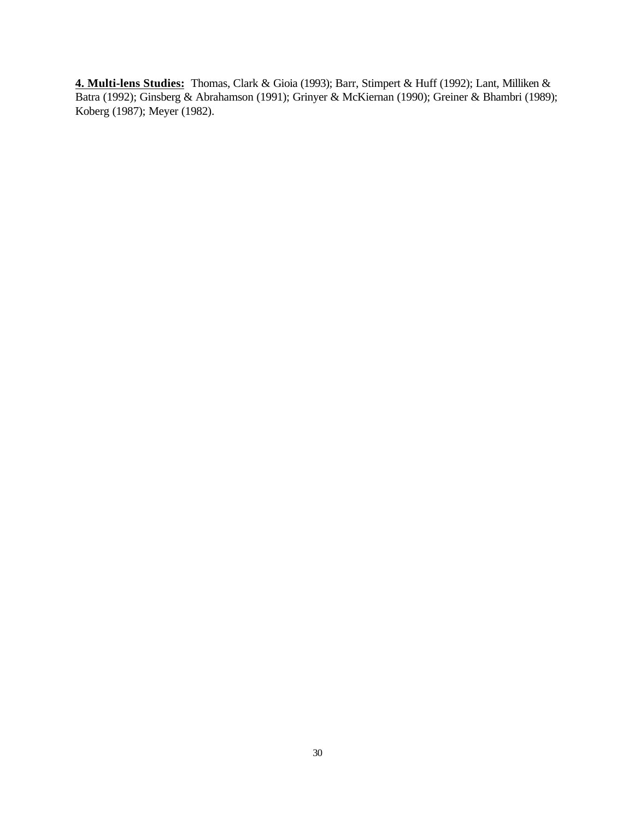**4. Multi-lens Studies:** Thomas, Clark & Gioia (1993); Barr, Stimpert & Huff (1992); Lant, Milliken & Batra (1992); Ginsberg & Abrahamson (1991); Grinyer & McKiernan (1990); Greiner & Bhambri (1989); Koberg (1987); Meyer (1982).